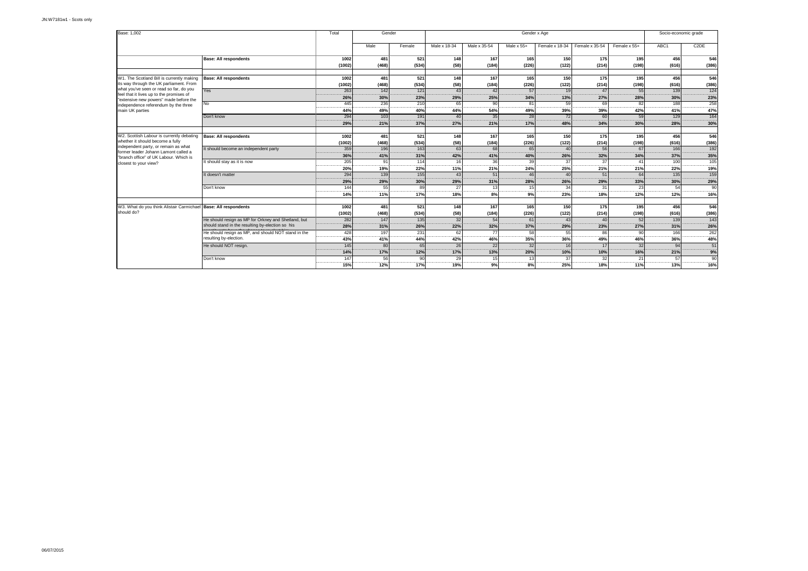| Base: 1.002                                                                        |                                                                                                         | Total                       |              | Gender            |                        |                             |                      | Gender x Age   |                          |                       | Socio-economic grade     |                          |
|------------------------------------------------------------------------------------|---------------------------------------------------------------------------------------------------------|-----------------------------|--------------|-------------------|------------------------|-----------------------------|----------------------|----------------|--------------------------|-----------------------|--------------------------|--------------------------|
|                                                                                    |                                                                                                         |                             | Male         | Female            | Male x 18-34           | Male x 35-54                | Male $x 55+$         | Female x 18-34 | Female x 35-54           | Female x 55+          | ABC1                     | C <sub>2</sub> DE        |
|                                                                                    | <b>Base: All respondents</b>                                                                            | 1002                        | 481          | 521               | 148                    | 167                         | 165                  | 150            | 175                      | 195                   | 456                      | 546                      |
|                                                                                    |                                                                                                         | (1002)                      | (468)        | (534)             | (58)                   | (184)                       | (226)                | (122)          | (214)                    | (198)                 | (616)                    | (386)                    |
| W1. The Scotland Bill is currently making                                          | <b>Base: All respondents</b>                                                                            | 1002                        | 481          |                   | 148                    | 167                         | 165                  | 150            | 175                      | 195                   | 456                      | 546                      |
| its way through the UK parliament. From                                            |                                                                                                         | (1002)                      | (468)        | 521<br>(534)      | (58)                   | (184)                       | (226)                | (122)          | (214)                    | (198)                 | (616)                    | (386)                    |
| what you've seen or read so far, do you                                            | Yes                                                                                                     | 263                         | 142          | 121               | 43                     | 42                          | 57                   | 19             | 47                       | 55                    | 139                      | 124                      |
| feel that it lives up to the promises of<br>"extensive new powers" made before the |                                                                                                         | 26%                         | -----<br>30% | 23%               | <br>29%                | 25%                         | -------<br>34%       | 13%            | <b>CONTRACTOR</b><br>27% | ------<br>28%         | <br>30%                  | 23%                      |
| independence referendum by the three                                               | No                                                                                                      | 445                         | 236<br>      | 210               | 65<br>-----            | 90<br>-----                 | 81<br>-----          | 59             | 69                       | 82                    | 188<br>                  | 258<br>--------          |
| main UK parties                                                                    |                                                                                                         | 44%                         | 49%          | 40%               | 44%                    | 54%                         | 49%                  | 39%            | 39%                      | 42%                   | 41%                      | 47%                      |
|                                                                                    | Don't know                                                                                              | 294<br>------------         | 103<br>----  | 191               | 40<br>------           | 35<br>------                | 28<br>-------        | 72             | 60                       | 59                    | 129<br>                  | 164<br>                  |
|                                                                                    |                                                                                                         | 29%                         | 21%          | 37%               | 27%                    | 21%                         | 17%                  | 48%            | 34%                      | 30%                   | 28%                      | 30%                      |
| W2. Scottish Labour is currently debating                                          | <b>Base: All respondents</b>                                                                            | 1002                        | 481          | 521               | 148                    | 167                         | 165                  | 150            | 175                      | 195                   | 456                      | 546                      |
| whether it should become a fully                                                   |                                                                                                         | (1002)                      | (468)        | (534)             | (58)                   | (184)                       | (226)                | (122)          | (214)                    | (198)                 | (616)                    | (386)                    |
| independent party, or remain as what                                               | It should become an independent party                                                                   | 359                         | 196          | 163               | 63                     | 68                          | 65                   | 40             | 56                       | 67                    | 166                      | 192                      |
| former leader Johann Lamont called a<br>"branch office" of UK Labour. Which is     |                                                                                                         | 36%                         | 41%          | 31%               | 42%                    | 41%                         | 40%                  | 26%            | 32%                      | 34%                   | 37%                      | 35%                      |
| closest to your view?                                                              | It should stay as it is now                                                                             | 205<br>                     | 91<br>       | 114<br>           | 16<br>                 | 36<br>-------               | 39<br>------         | 37             | 37<br>                   | 41<br>                | 100<br>------            | 105<br>-----------       |
|                                                                                    |                                                                                                         | 20%                         | 19%          | 22%               | 11%                    | 21%                         | 24%                  | 25%            | 21%                      | 21%                   | 22%                      | 19%                      |
|                                                                                    | t doesn't matter                                                                                        | 294                         | 139          | 155               | 43                     | 51                          | 46                   | 40             | 51                       | 64                    | 135                      | 159                      |
|                                                                                    | Don't know                                                                                              | 29%<br>144                  | 29%<br>55    | 30%<br>89         | 29%<br>27              | 31%<br>13                   | 28%<br>15            | 26%<br>34      | 29%<br>31                | 33%<br>23             | 30%<br>54                | 29%<br>90                |
|                                                                                    |                                                                                                         | -------------------<br>14%  | <br>11%      | ----------<br>17% | ---------------<br>18% | ---------------------<br>8% | --------------<br>9% | <br>23%        | ---------<br>18%         | <br>12%               | -----------------<br>12% | <br>16%                  |
|                                                                                    |                                                                                                         |                             |              |                   |                        |                             |                      |                |                          |                       |                          |                          |
| W3. What do you think Alistair Carmichael Base: All respondents                    |                                                                                                         | 1002                        | 481          | 521               | 148                    | 167                         | 165                  | 150            | 175                      | 195                   | 456                      | 546                      |
| should do?                                                                         |                                                                                                         | (1002)                      | (468)        | (534)             | (58)                   | (184)                       | (226)                | (122)          | (214)                    | (198)                 | (616)                    | (386)                    |
|                                                                                    | He should resign as MP for Orkney and Shetland, but<br>should stand in the resulting by-election so his | 282                         | 147<br>----- | 135               | 32<br>                 | 54                          | 61<br>-------        | 43             | 40<br><b>CONTRACTOR</b>  | 52<br><b>THE REAL</b> | 139<br>                  | 143                      |
|                                                                                    | He should resign as MP, and should NOT stand in the                                                     | 28%<br>428                  | 31%<br>197   | 26%<br>231        | 22%<br>62              | 32%<br>77                   | 37%<br>58            | 29%<br>55      | 23%<br>86                | 27%<br>90             | 31%<br>166               | 26%                      |
|                                                                                    | resulting by-election.                                                                                  | 43%                         | -----<br>41% | 44%               | ------<br>42%          | <br>46%                     | <br>35%              | 36%            | -----<br>49%             | ----<br>46%           | <br>36%                  | $\frac{262}{256}$<br>48% |
|                                                                                    | He should NOT resign.                                                                                   | 145                         | 80           | 65                | 26                     | 22                          | 32                   | 16             | 17                       | 32                    | 94                       | 51                       |
|                                                                                    |                                                                                                         | 14%                         | 17%          | 12%               | 17%                    | 13%                         | 20%                  | 10%            | 10%                      | 16%                   | 21%                      | 9%                       |
|                                                                                    | Don't know                                                                                              | 147                         | 56           | 90                | 29                     | 15                          | 13                   | 37             | 32                       | 21                    | 57                       | 90                       |
|                                                                                    |                                                                                                         | --------------------<br>15% | <br>12%      | ---------<br>17%  | -------<br>19%         | <br>9%                      | -------<br>8%        | ------<br>25%  | -------<br>18%           | <br>11%               | -------<br>13%           | -----------<br>16%       |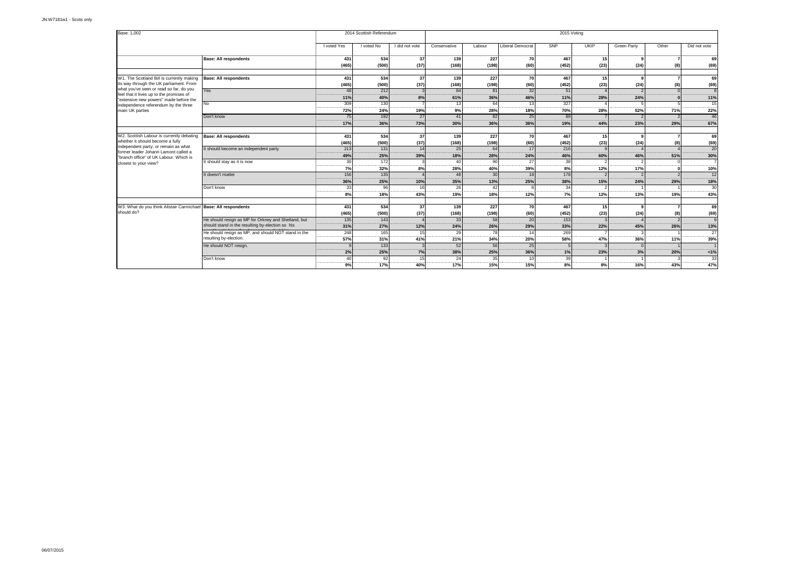| Base: 1.002                                                                                                      |                                                     |                                | 2014 Scottish Referendum |                      | 2015 Voting                                                  |                        |                         |                          |                                 |                    |                     |                           |
|------------------------------------------------------------------------------------------------------------------|-----------------------------------------------------|--------------------------------|--------------------------|----------------------|--------------------------------------------------------------|------------------------|-------------------------|--------------------------|---------------------------------|--------------------|---------------------|---------------------------|
|                                                                                                                  |                                                     | I voted Yes                    | I voted No               | I did not vote       | Conservative                                                 | Labour                 | <b>Liberal Democrat</b> | SNP                      | <b>UKIP</b>                     | <b>Green Party</b> | Other               | Did not vote              |
|                                                                                                                  | <b>Base: All respondents</b>                        | 431                            | 534                      | 37                   | 139                                                          | 227                    | 70                      | 467                      | 15                              |                    |                     | 69                        |
|                                                                                                                  |                                                     | (465)                          | (500)                    | (37)                 | (168)                                                        | (198)                  | (60)                    | (452)                    | (23)                            | (24)               | (8)                 | (69)                      |
|                                                                                                                  |                                                     |                                |                          |                      |                                                              |                        |                         |                          |                                 |                    |                     |                           |
| W1. The Scotland Bill is currently making<br>its way through the UK parliament. From                             | <b>Base: All respondents</b>                        | 431<br>(465)                   | 534<br>(500)             | 37<br>(37)           | 139<br>(168)                                                 | 227<br>(198)           | 70<br>(60)              | 467<br>(452)             | 15<br>(23)                      | (24)               | (8)                 | 69<br>(69)                |
| what you've seen or read so far, do you                                                                          | Yes                                                 | 48                             | 212                      |                      | 84                                                           | 81                     | 32                      | 51                       |                                 |                    |                     |                           |
| feel that it lives up to the promises of                                                                         |                                                     | 11%                            | 40%                      | 8%                   | 61%                                                          | 36%                    | 46%                     | 11%                      | 28%                             | 24%                |                     | 11%                       |
| "extensive new powers" made before the<br>independence referendum by the three                                   | No                                                  | 309                            | 130                      |                      | 13                                                           | 64                     | 13                      | 327                      |                                 |                    |                     | 15                        |
| main UK parties                                                                                                  |                                                     | <br>72%                        | <br>24%                  | 19%                  | 9%                                                           | <br>28%                | -----<br>18%            | 70%                      | <b>Harry Corporation</b><br>28% | 52%                | <br>71%             | <br>22%                   |
|                                                                                                                  | Don't know                                          | 75                             | 192                      | 27                   | 41                                                           | 82                     | 25                      | 89                       |                                 |                    |                     | 46                        |
|                                                                                                                  |                                                     | 17%                            | 36%                      | 73%                  | 30%                                                          | 36%                    | 36%                     | 19%                      | 44%                             | 23%                | 29%                 | 67%                       |
|                                                                                                                  |                                                     |                                |                          |                      |                                                              |                        |                         |                          |                                 |                    |                     |                           |
| W2. Scottish Labour is currently debating                                                                        | <b>Base: All respondents</b>                        | 431                            | 534                      | 37                   | 139                                                          | 227                    | 70                      | 467                      | 15                              |                    |                     | 69                        |
| whether it should become a fully<br>independent party, or remain as what<br>former leader Johann Lamont called a |                                                     | (465)                          | (500)                    | (37)                 | (168)                                                        | (198)                  | (60)                    | (452)                    | (23)                            | (24)               | (8)                 | (69)                      |
|                                                                                                                  | It should become an independent party               | 213                            | 131                      | 14                   | 25                                                           | 64                     | 17                      | 216                      |                                 |                    |                     | 20                        |
| "branch office" of UK Labour. Which is                                                                           |                                                     | 49%                            | 25%                      | 39%                  | 18%                                                          | 28%                    | 24%                     | 46%                      | 60%                             | 46%                | 51%                 | 30%                       |
| closest to your view?                                                                                            | It should stay as it is now                         | 30 <sup>1</sup><br>            | 172<br>                  |                      | $\Lambda$ <sup><math>\Omega</math></sup><br>---------------- | 90<br>---------------- | 27<br>                  | 38<br>------------------ | -------------                   | --------------     |                     | -----------------         |
|                                                                                                                  |                                                     | 7%                             | 32%                      | 8%                   | 28%                                                          | 40%                    | 39%                     | 8%<br>178                | 12%                             | 17%                |                     | 10%                       |
|                                                                                                                  | t doesn't matter                                    | 156<br>36%                     | 135<br>25%               | 10%                  | 48<br>35%                                                    | 30<br>13%              | 18<br>25%               | 38%                      | 15%                             | 24%                | 29%                 | 12<br>-----<br>18%        |
|                                                                                                                  | Don't know                                          | 33                             | 96                       | 16                   | 26                                                           | 42                     |                         | 34                       |                                 |                    |                     | 30                        |
|                                                                                                                  |                                                     | ----------------------<br>8%   | ------------<br>18%      | <br>43%              | -------<br>19%                                               | <br>18%                | ---------<br>12%        | <br>7%                   | <br>12%                         | ---------<br>13%   | --------<br>19%     | <br>43%                   |
|                                                                                                                  |                                                     |                                |                          |                      |                                                              |                        |                         |                          |                                 |                    |                     |                           |
| W3. What do you think Alistair Carmichael Base: All respondents                                                  |                                                     | 431                            | 534                      | 37                   | 139                                                          | 227                    | 70                      | 467                      | 15                              |                    |                     | 69                        |
| should do?                                                                                                       |                                                     | (465)                          | (500)                    | (37)                 | (168)                                                        | (198)                  | (60)                    | (452)                    | (23)                            | (24)               | (8)                 | (69)                      |
|                                                                                                                  | He should resign as MP for Orkney and Shetland, but | 135                            | 143                      |                      | 33                                                           | 58                     | 20                      | 153                      |                                 |                    |                     |                           |
|                                                                                                                  | should stand in the resulting by-election so his    | 31%                            | 27%                      | 12%                  | 24%                                                          | 26%                    | 29%                     | 33%                      | 22%                             | 45%                | 26%                 | 13%                       |
|                                                                                                                  | He should resign as MP, and should NOT stand in the | 248<br>                        | 165<br>                  | 15                   | 29<br>                                                       | 78<br>                 | 14<br>                  | 269<br>                  | ------                          | --------           |                     | 27<br>                    |
|                                                                                                                  | resulting by-election.                              | 57%                            | 31%                      | 41%                  | 21%                                                          | 34%                    | 20%                     | 58%                      | 47%                             | 36%                | 11%                 | 39%                       |
|                                                                                                                  | He should NOT resign.                               |                                | 133                      |                      | 52                                                           | 56                     | 25                      |                          |                                 |                    |                     |                           |
|                                                                                                                  |                                                     | 2%                             | 25%                      | 7%                   | 38%                                                          | 25%                    | 36%                     | 1%                       | 23%                             | 3%                 | 20%                 | 1%                        |
|                                                                                                                  | Don't know                                          | 40<br>------------------------ | 92<br>------------------ | 15<br>-------------- | 24<br>                                                       | 35<br>                 | 10<br>                  | 39<br>                   | ---------------                 | --------------     | ------------------- | 33<br>------------------- |
|                                                                                                                  |                                                     | 9%                             | 17%                      | 40%                  | 17%                                                          | 15%                    | 15%                     | 8%                       | 8%                              | 16%                | 43%                 | 47%                       |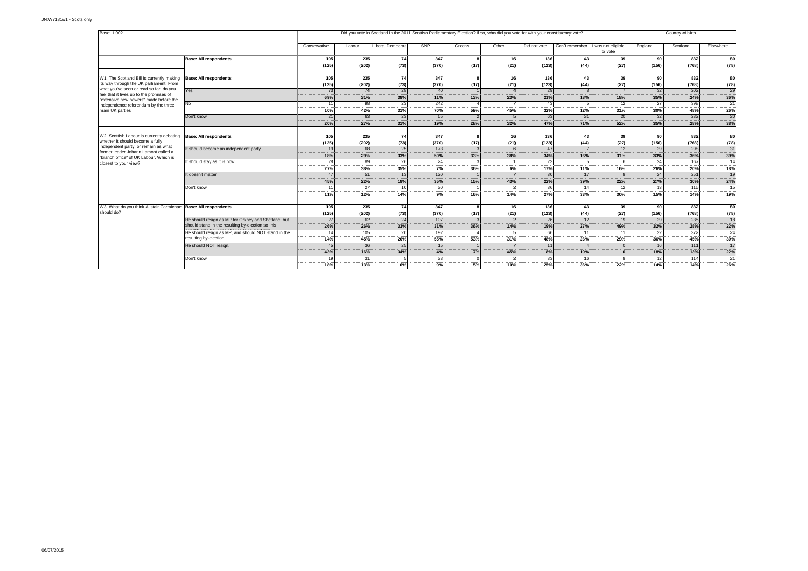| Base: 1.002                                                                        |                                                     |                           |                       | Did you vote in Scotland in the 2011 Scottish Parliamentary Election? If so, who did you vote for with your constituency vote? |                   |                   |                     |                      |                     |                                                |                       | Country of birth |                       |
|------------------------------------------------------------------------------------|-----------------------------------------------------|---------------------------|-----------------------|--------------------------------------------------------------------------------------------------------------------------------|-------------------|-------------------|---------------------|----------------------|---------------------|------------------------------------------------|-----------------------|------------------|-----------------------|
|                                                                                    |                                                     | Conservative              | Labour                | Liberal Democrat                                                                                                               | <b>SNP</b>        | Greens            | Other               | Did not vote         |                     | Can't remember   I was not eligible<br>to vote | England               | Scotland         | Elsewhere             |
|                                                                                    | <b>Base: All respondents</b>                        | 105                       | 235                   | 74                                                                                                                             | 347               | -8                | 16                  | 136                  | 43                  | 39                                             | <b>90</b>             | 832              | 80                    |
|                                                                                    |                                                     | (125)                     | (202)                 | (73)                                                                                                                           | (370)             | (17)              | (21)                | (123)                | (44)                | (27)                                           | (156)                 | (768)            | (78)                  |
|                                                                                    |                                                     |                           |                       |                                                                                                                                |                   |                   |                     |                      |                     |                                                |                       |                  |                       |
| W1. The Scotland Bill is currently making                                          | <b>Base: All respondents</b>                        | 105                       | 235                   | 74                                                                                                                             | 347               | $\mathbf{R}$      | 16                  | 136                  | 43                  | 39                                             | 90                    | 832              | 80                    |
| its way through the UK parliament. From<br>what you've seen or read so far, do you |                                                     | (125)                     | (202)                 | (73)                                                                                                                           | (370)             | (17)              | (21)                | (123)                | (44)                | (27)                                           | (156)                 | (768)            | (78)                  |
| feel that it lives up to the promises of                                           | Yes                                                 | 73                        | 74                    | 28                                                                                                                             | 40                |                   |                     | 29                   |                     |                                                | 32                    | 202              | 29                    |
| "extensive new powers" made before the                                             |                                                     | 69%                       | 31%                   | 38%                                                                                                                            | 11%               | 13%               | 23%                 | 21%                  | 18%                 | 18%                                            | 35%                   | 24%              | 36%                   |
| independence referendum by the three                                               | N٥                                                  | 11<br>                    | 98<br>-------------   | 23<br>                                                                                                                         | 242<br>           |                   |                     | 43<br>---------      |                     | 12<br>                                         | 27<br>                | 398              | 21<br>                |
| main UK parties                                                                    |                                                     | 10%                       | 42%                   | 31%                                                                                                                            | 70%               | 59%               | 45%                 | 32%<br>63            | 12%<br>31           | 31%                                            | 30%<br>32             | 48%<br>232       | 26%<br>30             |
|                                                                                    | Don't know                                          | 21<br>                    | 63<br>------          | 23                                                                                                                             | 65                | $\mathcal{P}$<br> |                     |                      |                     | 20                                             |                       |                  |                       |
|                                                                                    |                                                     | 20%                       | 27%                   | 31%                                                                                                                            | 19%               | 28%               | 32%                 | 47%                  | 71%                 | 52%                                            | 35%                   | 28%              | 38%                   |
| W2. Scottish Labour is currently debating                                          | <b>Base: All respondents</b>                        | 105                       | 235                   | 74                                                                                                                             | 347               | я.                | 16                  | 136                  | 43                  | 39                                             | 90                    | 832              | 80                    |
| whether it should become a fully                                                   |                                                     | (125)                     | (202)                 | (73)                                                                                                                           | (370)             | (17)              | (21)                | (123)                | (44)                | (27)                                           | (156)                 | (768)            |                       |
| independent party, or remain as what                                               | t should become an independent party                | 19                        | 68                    | 25                                                                                                                             | 173               |                   |                     | 47                   |                     |                                                | 29                    | 298              | (78)<br>31            |
| former leader Johann Lamont called a                                               |                                                     | <br>18%                   | <br>29%               | 33%                                                                                                                            | 50%               | <br>33%           | <br>38%             | 34%                  | <br>16%             | 31%                                            | 33%                   | 36%              | --------------<br>39% |
| "branch office" of UK Labour. Which is<br>closest to your view?                    | t should stay as it is now                          | 28                        | 89                    | 26                                                                                                                             | 24                |                   |                     | 23                   |                     |                                                | 24                    | 167              | 14                    |
|                                                                                    |                                                     | ------------------<br>27% | -------<br>38%        | 35%                                                                                                                            | ------<br>7%      | ---------<br>36%  | <br>6%              | 17%                  | <br>11%             | 16%                                            | <br>26%               | 20%              | <br>18%               |
|                                                                                    | doesn't matter                                      | 47                        | 51                    | 13                                                                                                                             | 120               |                   |                     | 30                   | 17                  |                                                | 24                    | 251              | 19                    |
|                                                                                    |                                                     | 45%                       | 22%                   | 18%                                                                                                                            | 35%               | 15%               | 43%                 | 22%                  | 39%                 | 22%                                            | 27%                   | 30%              | 24%                   |
|                                                                                    | Don't know                                          | 11                        | 27                    | 10                                                                                                                             | 30                |                   |                     | 36                   | 14                  |                                                | 13                    | 115              | 15                    |
|                                                                                    |                                                     | <br>11%                   | <br>12%               | <br>14%                                                                                                                        | -----------<br>9% | <br>16%           | ------------<br>14% | <br>27%              | <br>33%             | -----------<br>30%                             | --------<br>15%       | ---------<br>14% | --------------<br>19% |
| W3. What do you think Alistair Carmichael Base: All respondents                    |                                                     | 105                       | 235                   | 74                                                                                                                             | 347               | я.                | 16                  | 136                  | 43                  | 39                                             | 90                    | 832              | 80                    |
| should do?                                                                         |                                                     | (125)                     | (202)                 | (73)                                                                                                                           | (370)             | (17)              | (21)                | (123)                | (44)                | (27)                                           | (156)                 | (768)            | (78)                  |
|                                                                                    | He should resign as MP for Orkney and Shetland, but | 27                        | 62                    | 24                                                                                                                             | 107               |                   |                     | 26                   | 12                  | 19                                             | 29                    | 235              | 18                    |
|                                                                                    | should stand in the resulting by-election so his    | 26%                       | 26%                   | 33%                                                                                                                            | 31%               | 36%               | 14%                 | 19%                  | 27%                 | 49%                                            | 32%                   | 28%              | 22%                   |
|                                                                                    | He should resign as MP, and should NOT stand in the | 14                        | 105<br>               | 20                                                                                                                             | 192<br>---------- |                   | -----------         | 66                   | 11<br>------------- |                                                | 32                    | 372              | 24                    |
|                                                                                    | resulting by-election.                              | <br>14%                   | 45%                   | ---------<br>26%                                                                                                               | 55%               | 53%               | 31%                 | -------------<br>48% | 26%                 | <br>29%                                        | --------------<br>36% | .<br>45%         | <br>30%               |
|                                                                                    | He should NOT resign.                               | 45                        | 36<br><b>COLOR OF</b> | 25                                                                                                                             | 15                | ------            |                     | 11                   |                     |                                                | 16                    | 111              | 17                    |
|                                                                                    |                                                     | 43%                       | 16%                   | 34%                                                                                                                            | 4%                | 7%                | 45%                 | 8%                   | 10%                 |                                                | 18%                   | 13%              | 22%                   |
|                                                                                    | Don't know                                          | 19                        | 31<br>                |                                                                                                                                | 33<br>            | -----             |                     | 33                   | 16<br>              |                                                | 12                    | 114              | 21                    |
|                                                                                    |                                                     | 18%                       | 13%                   | 6%                                                                                                                             | 9%                | 5%                | 10%                 | 25%                  | 36%                 | 22%                                            | 14%                   | 14%              | 26%                   |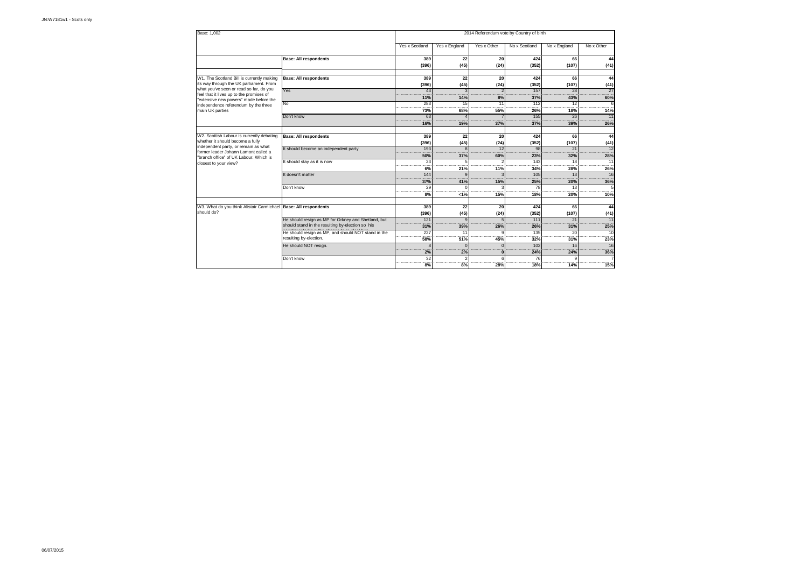| Base: 1.002                                                                         |                                                     |                |               |             | 2014 Referendum vote by Country of birth |              |               |
|-------------------------------------------------------------------------------------|-----------------------------------------------------|----------------|---------------|-------------|------------------------------------------|--------------|---------------|
|                                                                                     |                                                     |                |               |             |                                          |              |               |
|                                                                                     |                                                     | Yes x Scotland | Yes x England | Yes x Other | No x Scotland                            | No x England | No x Other    |
|                                                                                     | <b>Base: All respondents</b>                        | 389            | 22            | 20          | 424                                      | 66           | 44            |
|                                                                                     |                                                     | (396)          | (45)          | (24)        | (352)                                    | (107)        | (41)          |
| W1. The Scotland Bill is currently making                                           | <b>Base: All respondents</b>                        | 389            | 22            | 20          | 424                                      | 66           | 44            |
| its way through the UK parliament. From                                             |                                                     | (396)          | (45)          | (24)        | (352)                                    | (107)        | (41)          |
| what you've seen or read so far, do you<br>feel that it lives up to the promises of | Yes                                                 | 43             | 3             |             | 157                                      | 28           | 27            |
| "extensive new powers" made before the                                              |                                                     | 11%            | 14%           | 8%          | 37%                                      | 43%          | 60%           |
| independence referendum by the three                                                | No                                                  | 283            | 15            | 11<br>      | 112                                      | 12<br>       | 6<br>         |
| main UK parties                                                                     |                                                     | 73%            | 68%           | 55%         | 26%                                      | 18%          | 14%           |
|                                                                                     | Don't know                                          | 63             |               |             | 155                                      | 26           | 11            |
|                                                                                     |                                                     | 16%            | 19%           | 37%         | 37%                                      | 39%          | 26%           |
|                                                                                     |                                                     |                |               |             |                                          |              |               |
| W2. Scottish Labour is currently debating                                           | <b>Base: All respondents</b>                        | 389            | 22            | 20          | 424                                      | 66           | 44            |
| whether it should become a fully<br>independent party, or remain as what            |                                                     | (396)          | (45)          | (24)        | (352)                                    | (107)        | (41)          |
| former leader Johann Lamont called a                                                | It should become an independent party               | 193            | 8             | 12          | 98                                       | 21           | 12            |
| "branch office" of UK Labour. Which is                                              |                                                     | 50%            | 37%           | 60%         | 23%                                      | 32%          | 28%           |
| closest to your view?                                                               | It should stay as it is now                         | 23             |               |             | 143                                      | 18           | 11<br>        |
|                                                                                     |                                                     | 6%             | 21%           | 11%         | 34%                                      | 28%          | 26%           |
|                                                                                     | It doesn't matter                                   | 144            |               | Э           | 105                                      | 13           | 16            |
|                                                                                     |                                                     | 37%            | 41%           | 15%         | 25%                                      | 20%          | 36%           |
|                                                                                     | Don't know                                          | 29             |               |             | 78                                       | 13           |               |
|                                                                                     |                                                     | 8%             | 1%            | 15%         | 18%                                      | 20%          | 10%           |
| W3. What do you think Alistair Carmichael Base: All respondents                     |                                                     | 389            | 22            | 20          | 424                                      | 66           | 44            |
| should do?                                                                          |                                                     | (396)          | (45)          | (24)        | (352)                                    | (107)        | (41)          |
|                                                                                     | He should resign as MP for Orkney and Shetland, but | 121            | $\mathbf{c}$  | 5           | 111                                      | 21           | 11            |
|                                                                                     | should stand in the resulting by-election so his    | 31%            | 39%           | 26%         | 26%                                      | 31%          | 25%           |
|                                                                                     | He should resign as MP, and should NOT stand in the | 227            | 11            |             | 135                                      | 20           | 10            |
|                                                                                     | resulting by-election.                              | 58%            | 51%           | 45%         | 32%                                      | 31%          | <br>23%       |
|                                                                                     | He should NOT resign.                               | ε              | $\epsilon$    | $\Omega$    | 102                                      | 16           | 16            |
|                                                                                     |                                                     | 2%<br>2%<br>n  | 24%           | 24%         | 36%                                      |              |               |
|                                                                                     | Don't know                                          | 32             |               |             | 76                                       |              | 7             |
|                                                                                     |                                                     | 8%             | 8%            | 28%         | 18%                                      | 14%          | ------<br>15% |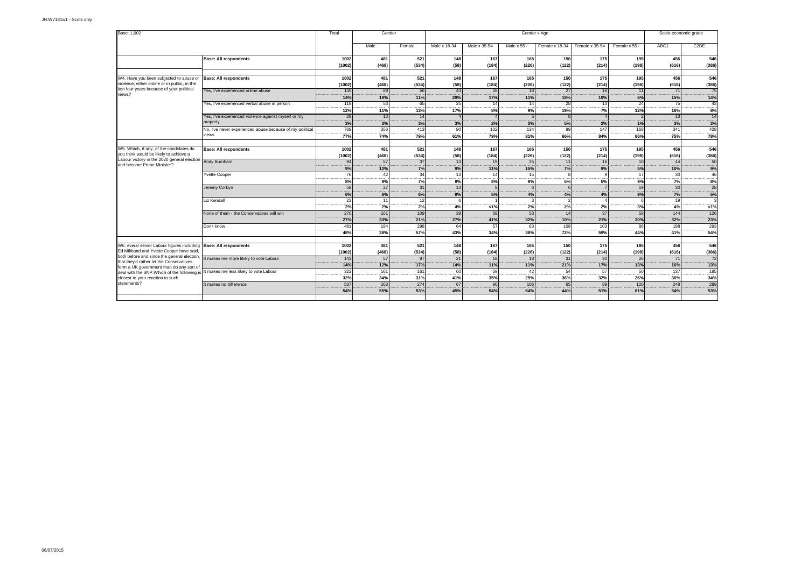| Base: 1,002                                                                               |                                                                   | Total  | Gender |        |              |              |              | Gender x Age   |                |              | Socio-economic grade |                   |
|-------------------------------------------------------------------------------------------|-------------------------------------------------------------------|--------|--------|--------|--------------|--------------|--------------|----------------|----------------|--------------|----------------------|-------------------|
|                                                                                           |                                                                   |        | Male   | Female | Male x 18-34 | Male x 35-54 | Male $x 55+$ | Female x 18-34 | Female x 35-54 | Female x 55+ | ABC1                 | C <sub>2</sub> DE |
|                                                                                           | <b>Base: All respondents</b>                                      | 1002   | 481    | 521    | 148          | 167          | 165          | $150$          | 175            | 195          | 456                  | 546               |
|                                                                                           |                                                                   | (1002) | (468)  | (534)  | (58)         | (184)        | (226)        | (122)          | (214)          | (198)        | (616)                | (386)             |
|                                                                                           |                                                                   |        |        |        |              |              |              |                |                |              |                      |                   |
| W4. Have you been subjected to abuse or                                                   | <b>Base: All respondents</b>                                      | 1002   | 481    | 521    | 148          | 167          | 165          | 150            | 175            | 195          | 456                  | 546               |
| violence, either online or in public, in the<br>last four years because of your political |                                                                   | (1002) | (468)  | (534)  | (58)         | (184)        | (226)        | (122)          | (214)          | (198)        | (616)                | (386)             |
| views?                                                                                    | Yes, I've experienced online abuse                                | 145    | 89     | 56     | 43           | 28           | 18           | 27             | 18             | 11           | 71                   | 75                |
|                                                                                           |                                                                   | 14%    | 19%    | 11%    | 29%          | 17%          | 11%          | 18%            | 10%            | 6%           | 15%                  | 14%               |
|                                                                                           | Yes, I've experienced verbal abuse in person                      | 118    | 53<br> | 65     | 25<br>       | 14<br>----   | 14<br>       | 28             | 13<br>         | 24<br>----   | 75<br>               | 43                |
|                                                                                           |                                                                   | 12%    | 11%    | 13%    | 17%          | 8%           | 9%           | 19%            | 7%             | 12%          | 16%                  | $rac{30}{8%}$     |
|                                                                                           | Yes, I've experienced violence against myself or my               | 28     | 13     | 14     |              |              |              |                |                |              | 13                   | 14                |
|                                                                                           | property                                                          | 3%     | 3%     | 3%     | 3%           | 2%           | 3%           | 5%             | 2%             | 1%           | 3%                   | 3%                |
|                                                                                           | No, I've never experienced abuse because of my political<br>views | 769    | 356    | 413    | 90           | 132          | 134          | 99             | 147            | 168          | 341                  | 428               |
|                                                                                           |                                                                   | 77%    | 74%    | 79%    | 61%          | 79%          | 81%          | 66%            | 84%            | 86%          | 75%                  | 78%               |
| W5. Which, if any, of the candidates do                                                   | <b>Base: All respondents</b>                                      | 1002   | 481    | 521    | 148          | 167          | 165          | 150            | 175            | 195          | 456                  | 546               |
| you think would be likely to achieve a                                                    |                                                                   | (1002) | (468)  | (534)  | (58)         | (184)        | (226)        | (122)          | (214)          | (198)        | (616)                | (386)             |
| Labour victory in the 2020 general election<br>and become Prime Minister?                 | Andy Burnham                                                      | 94     | 57     | 37     | 13           | 19           | 25           | 11             | 16             | 10           | 44                   | 50                |
|                                                                                           |                                                                   | 9%     | 12%    | 7%     | 9%           | 11%          | 15%          | 7%             | 9%             | 5%           | 10%                  | 9%                |
|                                                                                           | <b>Yvette Cooper</b>                                              | 76     | 42     | 34     | 13           | 14           | 15           |                |                | 17           | 30                   | 46                |
|                                                                                           |                                                                   | 8%     | 9%     | 7%     | 9%           | 8%           | 9%           | 5%             | 5%             | 9%           | 7%                   | <br>8%            |
|                                                                                           | Jeremy Corbyn                                                     | 58     | 27     | 31     | 13           |              |              |                |                | 19           | 30                   | 28                |
|                                                                                           |                                                                   | 6%     | 6%     | 6%     | 9%           | 5%           | 4%           | 4%             | 4%             | 9%           | 7%                   | 5%                |
|                                                                                           | Liz Kendall                                                       | 23     | 11     | 12     |              |              |              |                |                |              | 19                   |                   |
|                                                                                           |                                                                   | 2%     | 2%     | 2%     | 4%           | 1%           | 2%           | 2%             | 2%             | 3%           | 4%                   | 1%                |
|                                                                                           | None of them - the Conservatives will win                         | 270    | 161    | 109    | 39           | 68           | 53           | 14             | 37             | 58           | 144                  | 126               |
|                                                                                           |                                                                   | 27%    | 33%    | 21%    | 27%          | 41%          | 32%          | 10%            | 21%            | 30%          | 32%                  | 23%               |
|                                                                                           | Don't know                                                        | 481    | 184    | 298    | 64           | 57           | 63           | 108            | 103            | -86          | 188                  | 293               |
|                                                                                           |                                                                   | 48%    | 38%    | 57%    | 43%          | 34%          | 38%          | 72%            | 59%            | 44%          | 41%                  | 54%               |
|                                                                                           |                                                                   |        |        |        |              |              |              |                |                |              |                      |                   |
| W6, everal senior Labour figures including Base: All respondents                          |                                                                   | 1002   | 481    | 521    | 148          | 167          | 165          | 150            | 175            | 195          | 456                  | 546               |
| Ed Miliband and Yvette Cooper have said,                                                  |                                                                   | (1002) | (468)  | (534)  | (58)         | (184)        | (226)        | (122)          | (214)          | (198)        | (616)                | (386)             |
| both before and since the general election,<br>that they'd rather let the Conservatives   | It makes me more likely to vote Labour                            | 143    | 57     | 87     | 21           | 18           | 18           | 31             | 30             | 26           | 71                   | 72                |
| form a UK government than do any sort of                                                  |                                                                   | 14%    | 12%    | 17%    | 14%          | 11%          | 11%          | 21%            | 17%            | 13%          | 16%                  | 13%               |
| deal with the SNP. Which of the following is                                              | It makes me less likely to vote Labour                            | 322    | 161    | 161    | 60           | 59           | 42<br>------ | 54             | 57<br>         | 50           | 137<br>              | 185               |
| closest to your reaction to such                                                          |                                                                   | 32%    | 34%    | 31%    | 41%          | 35%          | 25%          | 36%            | 32%            | 26%          | 30%                  | 34%               |
| statements?                                                                               | It makes no difference                                            | 537    | 263    | 274    | 67           | 90           | 106          | 65             | 89             | 120          | 248                  | 289               |
|                                                                                           |                                                                   | 54%    | 55%    | 53%    | 45%          | 54%          | 64%          | 44%            | 51%            | 61%          | 54%                  | 53%               |
|                                                                                           |                                                                   |        |        |        |              |              |              |                |                |              |                      |                   |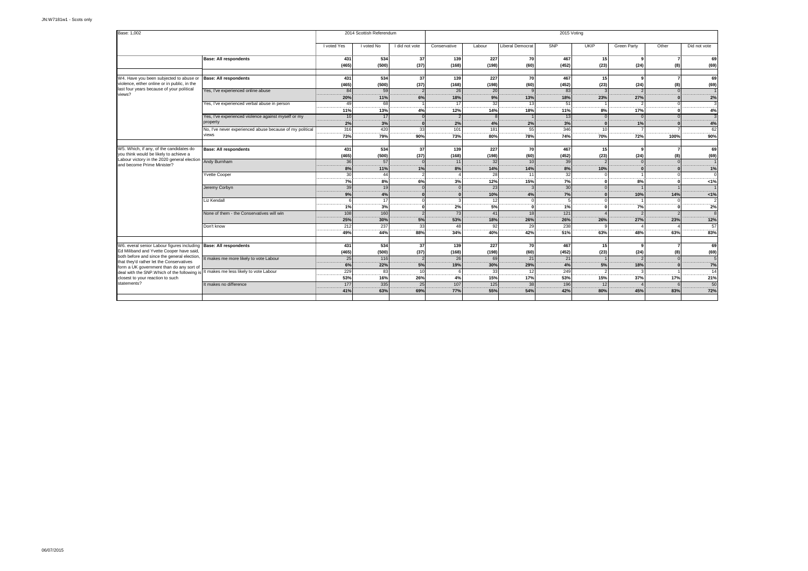| Base: 1,002                                                                                                                         |                                                                                                                             |                         | 2014 Scottish Referendum |                      |                     |                  |                          | 2015 Voting           |                    |                      |                       |                     |
|-------------------------------------------------------------------------------------------------------------------------------------|-----------------------------------------------------------------------------------------------------------------------------|-------------------------|--------------------------|----------------------|---------------------|------------------|--------------------------|-----------------------|--------------------|----------------------|-----------------------|---------------------|
|                                                                                                                                     |                                                                                                                             | I voted Yes             | I voted No               | I did not vote       | Conservative        | Labour           | Liberal Democrat         | <b>SNP</b>            | <b>UKIP</b>        | <b>Green Party</b>   | Other                 | Did not vote        |
|                                                                                                                                     | <b>Base: All respondents</b>                                                                                                | 431<br>(465)            | 534<br>(500)             | 37<br>(37)           | 139<br>(168)        | 227<br>(198)     | 70<br>(60)               | 467<br>(452)          | 15<br>(23)         | $\mathbf{q}$<br>(24) | $\overline{ }$<br>(8) | 69<br>(69)          |
| W4. Have you been subjected to abuse or<br>violence, either online or in public, in the                                             | <b>Base: All respondents</b>                                                                                                | 431<br>(465)            | 534<br>(500)             | 37<br>(37)           | 139<br>(168)        | 227<br>(198)     | 70<br>(60)               | 467<br>(452)          | 15<br>(23)         | (24)                 | $\overline{ }$<br>(8) | 69<br>(69)          |
| last four years because of your political<br>views?                                                                                 | Yes, I've experienced online abuse                                                                                          | 84<br>20%               | 59<br>11%                | 6%                   | 26<br>18%           | 20<br>9%         | 13%                      | 83<br>18%             | 23%                | 27%                  |                       | 2%                  |
|                                                                                                                                     | Yes, I've experienced verbal abuse in person                                                                                | 49<br>----------<br>11% | 68<br>------<br>13%      | 4%                   | 17<br>------<br>12% | 32<br><br>14%    | 13<br><br>18%            | 51<br>11%             | <br>8%             | ------<br>17%        |                       | <br>4%              |
|                                                                                                                                     | Yes, I've experienced violence against myself or my<br>property<br>No, I've never experienced abuse because of my political | 10<br>2%<br>316         | 17<br>3%<br>420          | 33                   | 2%<br>101           | 4%<br>181        | 2%<br>55                 | 13<br>3%<br>346       | 10                 | 1%                   |                       | 4%<br>62            |
|                                                                                                                                     | views                                                                                                                       | 73%                     | <br>79%                  | 90%                  | 73%                 | 80%              | ----<br>78%              | 74%                   | and and the<br>70% | 72%                  | 100%                  | ------<br>90%       |
| W5. Which, if any, of the candidates do<br>you think would be likely to achieve a<br>Labour victory in the 2020 general election    | <b>Base: All respondents</b>                                                                                                | 431<br>(465)            | 534<br>(500)             | 37<br>(37)           | 139<br>(168)        | 227<br>(198)     | 70<br>(60)               | 467<br>(452)          | 15<br>(23)         | (24)                 | (8)                   | 69<br>(69)          |
| and become Prime Minister?                                                                                                          | Andy Burnham                                                                                                                | 36<br>8%                | 57<br>11%                | 1%                   | 11<br>8%            | 32<br>14%        | 10<br>14%                | 39<br>8%              | 10%                |                      |                       | 1%                  |
|                                                                                                                                     | <b>Yvette Cooper</b>                                                                                                        | 30<br><br>7%            | 44<br><br>8%             | 6%                   | <br>3%              | 28<br>12%        | 11<br>15%                | 32<br>7%              |                    | 8%                   |                       | <br>1%              |
|                                                                                                                                     | Jeremy Corbyn                                                                                                               | 39<br>9%                | 19<br>4%                 |                      | $\Omega$            | 23<br>10%        | 4%                       | 30 <sup>°</sup><br>7% |                    | 10%                  | 14%                   | 1%                  |
|                                                                                                                                     | Liz Kendall                                                                                                                 | 1%                      | 17<br><br>3%             |                      | 2%                  | 12<br>5%         |                          | 1%                    |                    | 7%                   |                       | <br>2%              |
|                                                                                                                                     | None of them - the Conservatives will win                                                                                   | 108<br>25%<br>212       | 160<br>30%<br>237        | 5%<br>$\overline{3}$ | 73<br>53%<br>48     | 41<br>18%<br>92  | 18<br>26%<br>29          | $121$<br>26%<br>238   | 26%                | 27%                  | 23%                   | 12%<br>57           |
|                                                                                                                                     | Don't know                                                                                                                  | 49%                     | 44%                      | 88%                  | 34%                 | 40%              | 42%                      | 51%                   | 63%                | 48%                  | 63%                   | 83%                 |
| W6. everal senior Labour figures including<br>Ed Miliband and Yvette Cooper have said,                                              | <b>Base: All respondents</b>                                                                                                | 431<br>(465)            | 534<br>(500)             | 37<br>(37)           | 139<br>(168)        | 227<br>(198)     | 70<br>(60)               | 467<br>(452)          | 15<br>(23)         | (24)                 | (8)                   | 69<br>(69)          |
| both before and since the general election,<br>that they'd rather let the Conservatives<br>form a UK government than do any sort of | It makes me more likely to vote Labour                                                                                      | 25<br>6%                | 116<br>22%               | 5%                   | 26<br>19%           | 69<br>30%        | 21<br>29%                | 21<br>4%              | 5%                 | 18%                  | $\Omega$              | <br>7%              |
| deal with the SNP. Which of the following is<br>closest to your reaction to such<br>statements?                                     | It makes me less likely to vote Labour<br>It makes no difference                                                            | 229<br>53%<br>177       | 83<br>.<br>16%<br>335    | 10<br>26%<br>2:      | ------<br>4%<br>107 | 33<br>15%<br>125 | 12<br>-----<br>17%<br>38 | 249<br>53%<br>196     | -----<br>15%<br>12 | 37%                  | <br>17%               | 14<br><br>21%<br>50 |
|                                                                                                                                     |                                                                                                                             | 41%                     | 63%                      | 69%                  | 77%                 | 55%              | 54%                      | 42%                   | 80%                | 45%                  | 83%                   | 72%                 |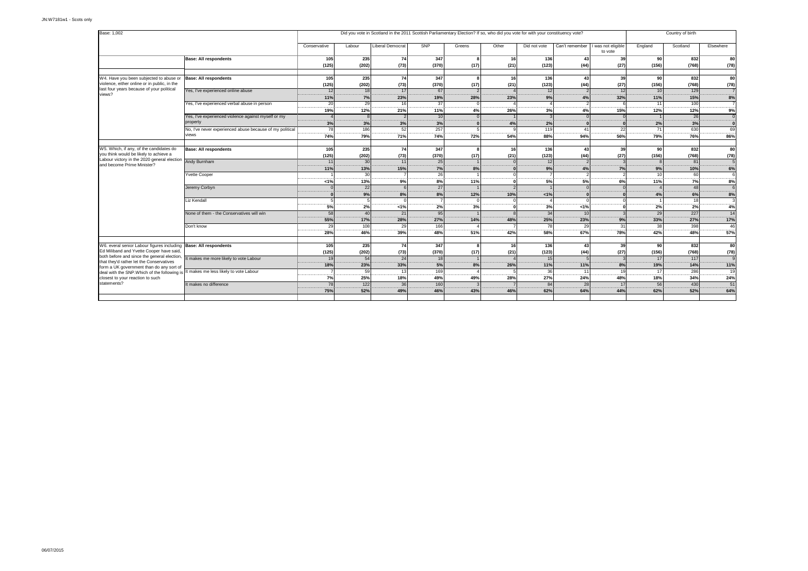| Base: 1,002                                                                            |                                                          |              |                    |                         | Did you vote in Scotland in the 2011 Scottish Parliamentary Election? If so, who did you vote for with your constituency vote? |              |           |              |                 |                             |           | Country of birth                                                                                                                                                                                                                                                                                                                                                                                  |                  |
|----------------------------------------------------------------------------------------|----------------------------------------------------------|--------------|--------------------|-------------------------|--------------------------------------------------------------------------------------------------------------------------------|--------------|-----------|--------------|-----------------|-----------------------------|-----------|---------------------------------------------------------------------------------------------------------------------------------------------------------------------------------------------------------------------------------------------------------------------------------------------------------------------------------------------------------------------------------------------------|------------------|
|                                                                                        |                                                          | Conservative | Labour             | <b>Liberal Democrat</b> | SNP                                                                                                                            | Greens       | Other     | Did not vote | Can't remember  | was not eligible<br>to vote | England   | Scotland                                                                                                                                                                                                                                                                                                                                                                                          | Elsewhere        |
|                                                                                        | <b>Base: All respondents</b>                             | 105          | 235                | 74                      | 347                                                                                                                            |              | 16I       | 136          | 43              | 39                          | 90        | 832<br>(768)<br>(156)<br>832<br>90<br>(156)<br>(768)<br>129<br>10<br>15%<br>11%<br>100<br>11<br>12%<br>12%<br>26<br>3%<br>2%<br>630<br>71<br><br>76%<br>79%<br>832<br>90<br>(768)<br>(156)<br>81<br>10%<br>9%<br>60<br>7%<br>11%<br>48<br>6%<br>4%<br>18<br>2%<br>2%<br>227<br>29<br>33%<br>27%<br>398<br>38<br>42%<br>48%<br>832<br>90<br>(768)<br>(156)<br>117<br>17<br>14%<br>19%<br>286<br>17 | 80               |
|                                                                                        |                                                          | (125)        | (202)              | (73)                    | (370)                                                                                                                          | (17)         | (21)      | (123)        | (44)            | (27)                        |           |                                                                                                                                                                                                                                                                                                                                                                                                   | (78)             |
|                                                                                        |                                                          |              |                    |                         |                                                                                                                                |              |           |              |                 |                             |           |                                                                                                                                                                                                                                                                                                                                                                                                   |                  |
| W4. Have you been subjected to abuse or                                                | <b>Base: All respondents</b>                             | 105          | 235                | 74                      | 347                                                                                                                            |              | 16I       | 136          | 43              | 39                          |           |                                                                                                                                                                                                                                                                                                                                                                                                   | 80               |
| violence, either online or in public, in the                                           |                                                          | (125)        | (202)              | (73)                    | (370)                                                                                                                          | (17)         | (21)      | (123)        | (44)            | (27)                        |           |                                                                                                                                                                                                                                                                                                                                                                                                   | (78)             |
| last four years because of your political<br>views?                                    | Yes, I've experienced online abuse                       | 12           | 18<br><b>COLOR</b> | 17                      | 67                                                                                                                             |              |           | 12           |                 | 12                          |           |                                                                                                                                                                                                                                                                                                                                                                                                   | $\overline{7}$   |
|                                                                                        |                                                          | 11%          | 7%                 | 23%                     | 19%                                                                                                                            | 28%          | 23%       | 9%           | 4%              | 32%                         |           |                                                                                                                                                                                                                                                                                                                                                                                                   | 8%               |
|                                                                                        | Yes, I've experienced verbal abuse in person             | 20<br>       | 29                 | 16                      | 37                                                                                                                             |              |           |              |                 |                             |           |                                                                                                                                                                                                                                                                                                                                                                                                   | $\overline{7}$   |
|                                                                                        |                                                          | 19%          | <br>12%            | 21%                     | 11%                                                                                                                            | 4%           | <br>26%   | 3%           | 4%              | 15%                         |           |                                                                                                                                                                                                                                                                                                                                                                                                   | --------<br>9%   |
|                                                                                        | Yes, I've experienced violence against myself or my      |              |                    |                         | 10                                                                                                                             |              |           |              |                 |                             |           |                                                                                                                                                                                                                                                                                                                                                                                                   | $\overline{0}$   |
|                                                                                        | property                                                 | 3%           | 3%                 | 3%                      | 3%                                                                                                                             |              | 4%        | 2%           |                 |                             |           |                                                                                                                                                                                                                                                                                                                                                                                                   | ຶ່               |
|                                                                                        | No, I've never experienced abuse because of my political | $^{78}$      | 186<br>------      | 52                      | 257<br>-----                                                                                                                   | ---------    | --------  | 119          | 41<br>------    | 22<br>                      |           |                                                                                                                                                                                                                                                                                                                                                                                                   | 69<br>---------- |
|                                                                                        | views                                                    | 74%          | 79%                | 71%                     | 74%                                                                                                                            | 72%          | 54%       | 88%          | 94%             | 56%                         |           |                                                                                                                                                                                                                                                                                                                                                                                                   | 86%              |
| W5. Which, if any, of the candidates do                                                | <b>Base: All respondents</b>                             | 105          | 235                | 74                      | 347                                                                                                                            | $\mathbf{R}$ | 16        | 136          | 43              | 39                          |           |                                                                                                                                                                                                                                                                                                                                                                                                   | 80               |
| you think would be likely to achieve a                                                 |                                                          | (125)        | (202)              | (73)                    | (370)                                                                                                                          | (17)         | (21)      | (123)        | (44)            | (27)                        |           |                                                                                                                                                                                                                                                                                                                                                                                                   | (78)             |
| Labour victory in the 2020 general election                                            | Andy Burnham                                             | 11           | 30                 | 11                      | 25                                                                                                                             |              |           | 12           |                 |                             |           |                                                                                                                                                                                                                                                                                                                                                                                                   | 5                |
| and become Prime Minister?                                                             |                                                          | 11%          | 13%                | 15%                     | 7%                                                                                                                             | 8%           |           | 9%           | 4%              | 7%                          |           |                                                                                                                                                                                                                                                                                                                                                                                                   | 6%               |
|                                                                                        | Yvette Cooper                                            |              | 30                 |                         | 26                                                                                                                             |              |           |              |                 |                             |           |                                                                                                                                                                                                                                                                                                                                                                                                   | 6                |
|                                                                                        |                                                          | $1\%$        | 13%                | 9%                      | 8%                                                                                                                             | 11%          |           | 5%           | 5%              | 6%                          |           |                                                                                                                                                                                                                                                                                                                                                                                                   | 8%               |
|                                                                                        | Jeremy Corbyn                                            |              | 22                 |                         | 27                                                                                                                             |              |           |              |                 |                             |           |                                                                                                                                                                                                                                                                                                                                                                                                   | 6                |
|                                                                                        |                                                          |              | 9%                 | 8%                      | 8%                                                                                                                             | 12%          | 10%       | 1%           |                 |                             |           |                                                                                                                                                                                                                                                                                                                                                                                                   | 8%               |
|                                                                                        | Liz Kendall                                              |              |                    |                         |                                                                                                                                |              |           |              |                 |                             |           |                                                                                                                                                                                                                                                                                                                                                                                                   | 3                |
|                                                                                        |                                                          | 5%           | 2%                 | 1%                      | 2%                                                                                                                             | -----<br>3%  |           | 3%           | 1%              |                             |           |                                                                                                                                                                                                                                                                                                                                                                                                   | 4%               |
|                                                                                        | None of them - the Conservatives will win                | 58           | 40                 | 21                      | 95                                                                                                                             |              |           | 34           | 10 <sup>1</sup> |                             |           |                                                                                                                                                                                                                                                                                                                                                                                                   | 14               |
|                                                                                        |                                                          | 55%          | 17%                | 28%                     | 27%                                                                                                                            | 14%          | 48%       | 25%          | 23%             | 9%                          |           |                                                                                                                                                                                                                                                                                                                                                                                                   | 17%              |
|                                                                                        | Don't know                                               | 29           | 108                | 29                      | 166                                                                                                                            |              |           | 78           | 29              | 31                          |           |                                                                                                                                                                                                                                                                                                                                                                                                   | 46               |
|                                                                                        |                                                          | 28%          | 46%                | 39%                     | 48%                                                                                                                            | 51%          | 42%       | 58%          | 67%             | 78%                         |           |                                                                                                                                                                                                                                                                                                                                                                                                   | 57%              |
|                                                                                        |                                                          |              |                    |                         |                                                                                                                                |              |           | 136          |                 |                             |           |                                                                                                                                                                                                                                                                                                                                                                                                   |                  |
| W6. everal senior Labour figures including<br>Ed Miliband and Yvette Cooper have said. | <b>Base: All respondents</b>                             | 105          | 235                | 74                      | 347                                                                                                                            | я.           | <b>16</b> |              | 43              | 39                          |           |                                                                                                                                                                                                                                                                                                                                                                                                   | 80               |
| both before and since the general election,                                            |                                                          | (125)        | (202)              | (73)                    | (370)                                                                                                                          | (17)         | (21)      | (123)        | (44)            | (27)                        |           |                                                                                                                                                                                                                                                                                                                                                                                                   | (78)             |
| that they'd rather let the Conservatives                                               | It makes me more likely to vote Labour                   | 19           | 54                 | 24                      | 18                                                                                                                             |              |           | 15           |                 |                             |           |                                                                                                                                                                                                                                                                                                                                                                                                   | $\mathbf{g}$     |
| form a UK government than do any sort of                                               |                                                          | 18%          | 23%                | 33%                     | 5%                                                                                                                             | 8%           | 26%       | 11%          | 11%             | 8%<br>1 <sup>c</sup>        |           |                                                                                                                                                                                                                                                                                                                                                                                                   | 11%              |
| deal with the SNP. Which of the following is                                           | It makes me less likely to vote Labour                   |              | 59                 | 13                      | 169                                                                                                                            |              |           | 36           |                 |                             |           |                                                                                                                                                                                                                                                                                                                                                                                                   | 19               |
| closest to your reaction to such<br>statements?                                        |                                                          | 7%<br>78     | 25%                | 18%<br>36               | 49%<br>160                                                                                                                     | 49%          | 28%       | 27%<br>84    | 24%             | 48%<br>17                   | 18%<br>56 | 34%<br>430                                                                                                                                                                                                                                                                                                                                                                                        | 24%<br>51        |
|                                                                                        | It makes no difference                                   | 75%          | 122<br>52%         |                         |                                                                                                                                |              |           |              | 28              |                             |           |                                                                                                                                                                                                                                                                                                                                                                                                   | 64%              |
|                                                                                        |                                                          |              |                    | 49%                     | 46%                                                                                                                            | 43%          | 46%       | 62%          | 64%             | 44%                         | 62%       | 52%                                                                                                                                                                                                                                                                                                                                                                                               |                  |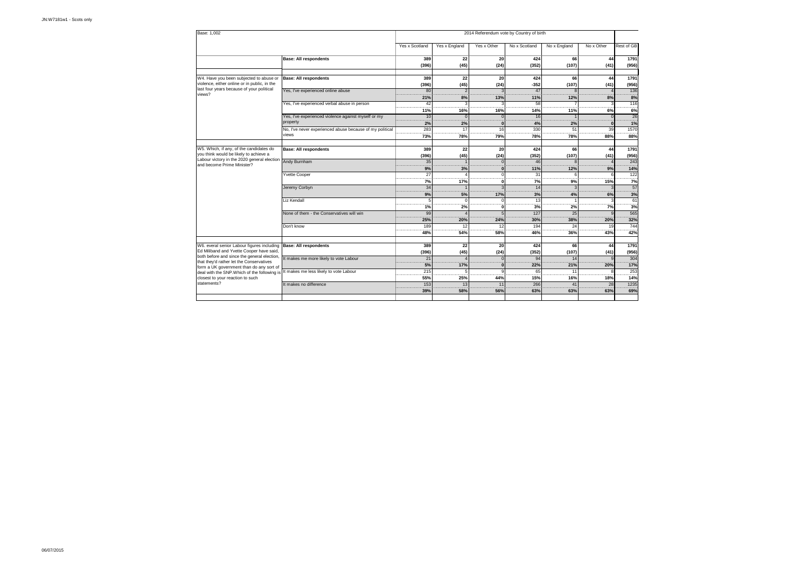| Base: 1.002                                                                              |                                                          |                |               | 2014 Referendum vote by Country of birth |               |              |            |                |
|------------------------------------------------------------------------------------------|----------------------------------------------------------|----------------|---------------|------------------------------------------|---------------|--------------|------------|----------------|
|                                                                                          |                                                          | Yes x Scotland | Yes x England | Yes x Other                              | No x Scotland | No x England | No x Other | Rest of GB     |
|                                                                                          | <b>Base: All respondents</b>                             | 389<br>(396)   | 22<br>(45)    | 20<br>(24)                               | 424<br>(352)  | 66<br>(107)  | 44<br>(41) | 1791<br>(956)  |
|                                                                                          |                                                          |                |               |                                          |               |              |            |                |
| W4. Have you been subjected to abuse or<br>violence, either online or in public, in the  | <b>Base: All respondents</b>                             | 389<br>(396)   | 22<br>(45)    | 20<br>(24)                               | 424<br>$-352$ | 66<br>(107)  | 44<br>(41) | 1791<br>(956)  |
| last four years because of your political                                                | Yes, I've experienced online abuse                       | 80             |               |                                          | 47            |              |            | 136            |
| views?                                                                                   |                                                          | 21%            | 8%            | 13%                                      | 11%           | 12%          | 8%         | 8%             |
|                                                                                          | Yes, I've experienced verbal abuse in person             | 42             |               |                                          | 58            |              |            | 116            |
|                                                                                          |                                                          | 11%            | 16%           | 16%                                      | 14%           | 11%          | 6%         | 6%             |
|                                                                                          | Yes, I've experienced violence against myself or my      | 10             | $\Omega$      |                                          | 16            |              |            | 26             |
|                                                                                          | property                                                 | 2%             | 2%            |                                          | 4%            | 2%           |            | 1%             |
|                                                                                          | No, I've never experienced abuse because of my political | 283            | 17            | 16                                       | 330           | 51           | 39         | 1570           |
|                                                                                          | views                                                    | 73%            | 78%           | 79%                                      | 78%           | 78%          | 88%        | 88%            |
|                                                                                          |                                                          |                |               |                                          |               |              |            |                |
| W5. Which, if any, of the candidates do                                                  | <b>Base: All respondents</b>                             | 389            | 22            | 20                                       | 424           | 66           | 44         | 1791           |
| you think would be likely to achieve a<br>Labour victory in the 2020 general election    |                                                          | (396)          | (45)          | (24)                                     | (352)         | (107)        | (41)       | (956)          |
| and become Prime Minister?                                                               | Andy Burnham                                             | 35             |               |                                          | 46            |              |            | 243            |
|                                                                                          |                                                          | 9%             | 3%            |                                          | 11%           | 12%          | 9%         | 14%            |
|                                                                                          | Yvette Cooper                                            | 27             |               | n                                        | 31            |              |            | 122            |
|                                                                                          |                                                          | 7%             | 17%           | n                                        | 7%            | 9%           | 15%        | $\frac{1}{7%}$ |
|                                                                                          | Jeremy Corbyn                                            | 34             |               |                                          | 14            |              |            | 57<br>3%       |
|                                                                                          |                                                          | 9%             | 5%            | 17%                                      | 3%            | 4%           | 6%         |                |
|                                                                                          | Liz Kendall                                              |                |               |                                          | 13            |              |            | 61<br>         |
|                                                                                          |                                                          | 1%             | 2%            | ŋ                                        | 3%            | 2%           | 7%         | 3%             |
|                                                                                          | None of them - the Conservatives will win                | 99             |               |                                          | 127           | 25           |            | 565            |
|                                                                                          |                                                          | 25%            | 20%           | 24%                                      | 30%           | 38%          | 20%        | 32%            |
|                                                                                          | Don't know                                               | 189            | 12            | 12                                       | 194           | 24           | 19         | 744            |
|                                                                                          |                                                          | 48%            | 54%           | 58%                                      | 46%           | 36%          | 43%        | 42%            |
| W6. everal senior Labour figures including                                               | <b>Base: All respondents</b>                             | 389            | 22            | 20                                       | 424           | 66           | 44         | 1791           |
| Ed Miliband and Yvette Cooper have said.                                                 |                                                          | (396)          | (45)          | (24)                                     | (352)         | (107)        | (41)       | (956)          |
| both before and since the general election,                                              | It makes me more likely to vote Labour                   | 21             |               |                                          | $Q_{\Delta}$  | 14           |            | 304            |
| that they'd rather let the Conservatives                                                 |                                                          | 5%             | 17%           | $\Omega$                                 | 22%           | 21%          | 20%        | 17%            |
| form a UK government than do any sort of<br>deal with the SNP. Which of the following is | t makes me less likely to vote Labour                    | 215            |               |                                          | 65            | 11           |            | 253            |
| closest to your reaction to such                                                         |                                                          | 55%            | 25%           | 44%                                      | 15%           | 16%          | 18%        | 14%            |
| statements?                                                                              | It makes no difference                                   | 153            | 13            | 11                                       | 266           | 41           | 28         | 1235           |
|                                                                                          |                                                          | 39%            | 58%           | 56%                                      | 63%           | 63%          | 63%        | 69%            |
|                                                                                          |                                                          |                |               |                                          |               |              |            |                |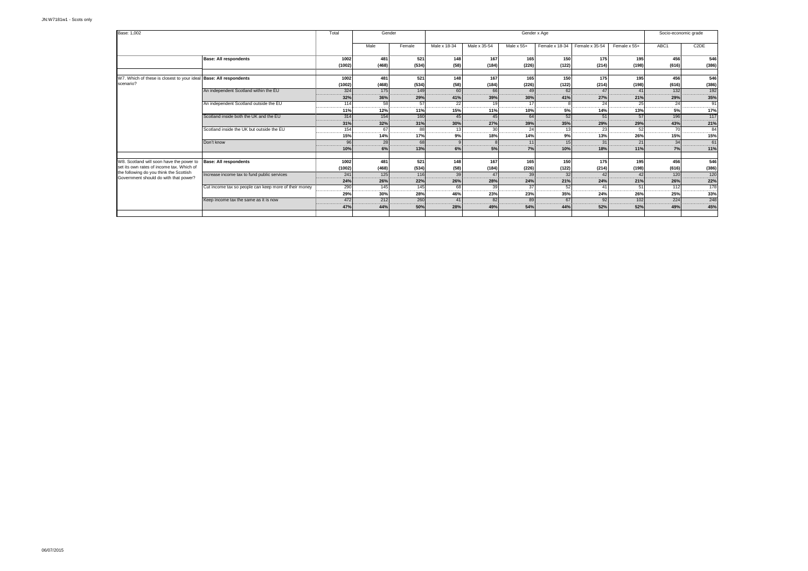| Base: 1,002                                                                           |                                                       | Total                       |                                | Gender                            |                              |                            |                | Gender x Age         |                 |                        | Socio-economic grade  |                             |
|---------------------------------------------------------------------------------------|-------------------------------------------------------|-----------------------------|--------------------------------|-----------------------------------|------------------------------|----------------------------|----------------|----------------------|-----------------|------------------------|-----------------------|-----------------------------|
|                                                                                       |                                                       |                             | Male                           | Female                            | Male x 18-34                 | Male x 35-54               | Male $x 55+$   | Female x 18-34       | Female x 35-54  | Female x 55+           | ABC <sub>1</sub>      | C <sub>2</sub> DE           |
|                                                                                       | <b>Base: All respondents</b>                          | 1002<br>(1002)              | 481<br>(468)                   | 521<br>(534)                      | 148<br>(58)                  | 167<br>(184)               | 165<br>(226)   | 150<br>(122)         | 175<br>(214)    | 195<br>(198)           | 456<br>(616)          | 546<br>(386)                |
|                                                                                       |                                                       |                             |                                |                                   |                              |                            |                |                      |                 |                        |                       |                             |
| W7. Which of these is closest to your ideal Base: All respondents<br>scenario?        |                                                       | 1002<br>(1002)              | 481<br>(468)                   | 521<br>(534)                      | 148<br>(58)                  | 167<br>(184)               | 165<br>(226)   | 150<br>(122)         | 175<br>(214)    | 195<br>(198)           | 456<br>(616)          | 546<br>(386)                |
|                                                                                       | An independent Scotland within the EU                 | 324<br>32%                  | 175<br>36%                     | 149<br>29%                        | 60<br>41%                    | 66<br>39%                  | 49<br>30%      | 62<br>41%            | 47<br>27%       | 41<br>21%              | 132<br>29%            | 192<br><br>35%              |
|                                                                                       | An independent Scotland outside the EU                | 114<br>                     | 58<br>                         | 57                                | 22<br>---------<br>--------- | 19<br>-------------------- | 17<br>         |                      | 24<br>          | 25<br>                 | 24<br>------          | 91<br>                      |
|                                                                                       | Scotland inside both the UK and the EU                | 11%<br>314<br>              | 12%<br>154<br>                 | 11%<br>160<br><b>BER BERRIEDE</b> | 15%<br>45<br>                | 11%<br>45<br>              | 10%<br>64<br>  | 5%<br>52<br>-------- | 14%<br>51<br>   | 13%<br>57<br>          | 5%<br>196<br>-------  | 17%<br>117<br>------------  |
|                                                                                       | Scotland inside the UK but outside the EU             | 31%<br>154                  | 32%<br>67                      | 31%<br>88                         | 30%<br>13                    | 27%<br>30                  | 39%<br>24      | 35%<br>13            | 29%<br>23       | 29%<br>52              | 43%<br>70             | 21%<br>84                   |
|                                                                                       |                                                       | --------------------<br>15% | <br>14%                        | 17%                               | <br>9%                       | ---------<br>18%           | <br>14%        | <br>9%               | <br>13%         | <br>26%                | --------<br>15%       | <br>15%                     |
|                                                                                       | Don't know                                            | <b>QF</b><br>10%            | 28<br>------------------<br>6% | 68<br>13%                         | 6%                           | 5%                         | --------<br>7% | 15<br>10%            | 31<br>.<br>18%  | 21<br>---------<br>11% | 34<br>.<br>7%         | 61<br>--------------<br>11% |
|                                                                                       |                                                       |                             |                                |                                   |                              |                            |                |                      |                 |                        |                       |                             |
| W8. Scotland will soon have the power to<br>set its own rates of income tax. Which of | <b>Base: All respondents</b>                          | 1002<br>(1002)              | 481<br>(468)                   | 521<br>(534)                      | 148<br>(58)                  | 167<br>(184)               | 165<br>(226)   | 150<br>(122)         | 175<br>(214)    | 195<br>(198)           | 456<br>(616)          | 546<br>(386)                |
| the following do you think the Scottish<br>Government should do with that power?      | Increase income tax to fund public services           | 241<br><br>--------<br>24%  | 125<br>-------<br>26%          | 116<br>22%                        | 39<br><br>26%                | 47<br><br>28%              | 39<br><br>24%  | 32<br>21%            | 42<br><br>24%   | 21%                    | 120<br><br>26%        | 120<br><br>22%              |
|                                                                                       | Cut income tax so people can keep more of their money | 290<br><br>29%              | 145<br><br>30%                 | 145<br>28%                        | 68<br>-------<br>46%         | 39<br>--------<br>23%      | 37<br><br>23%  | 52<br>35%            | 41<br><br>24%   | 51<br><br>26%          | 112<br>-------<br>25% | 178<br>-------<br>33%       |
|                                                                                       | Keep income tax the same as it is now                 | 472<br>.                    | 212                            | 260                               | 41                           | 82                         | 89             | 67                   | 92 <sub>1</sub> | 102                    | 224                   | 248<br>----------------     |
|                                                                                       |                                                       | 47%                         | 44%                            | 50%                               | 28%                          | 49%                        | 54%            | 44%                  | 52%             | 52%                    | 49%                   | 45%                         |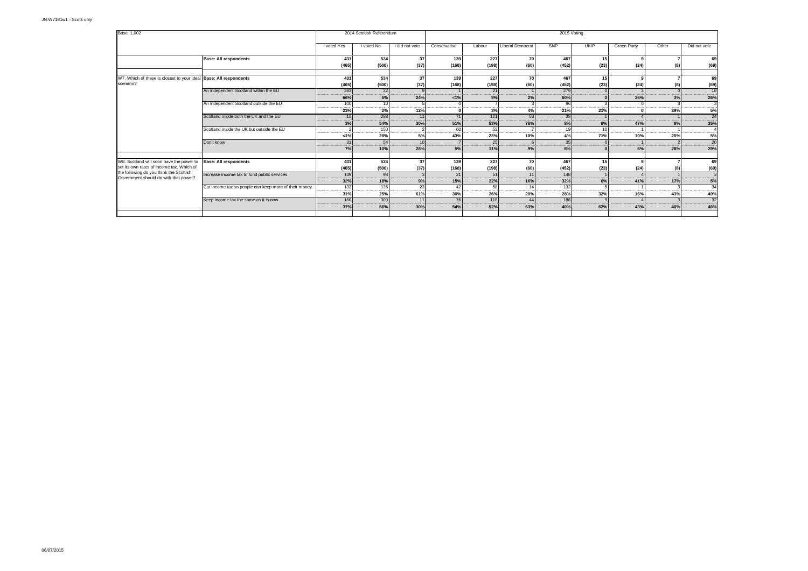| Base: 1,002                                                                           |                                                       |                                     | 2014 Scottish Referendum |                        |                          |                     |                                               | 2015 Voting                        |                  |                    |                        |                        |
|---------------------------------------------------------------------------------------|-------------------------------------------------------|-------------------------------------|--------------------------|------------------------|--------------------------|---------------------|-----------------------------------------------|------------------------------------|------------------|--------------------|------------------------|------------------------|
|                                                                                       |                                                       | I voted Yes                         | I voted No               | I did not vote         | Conservative             | Labour              | <b>Liberal Democrat</b>                       | <b>SNP</b>                         | <b>UKIP</b>      | <b>Green Party</b> | Other                  | Did not vote           |
|                                                                                       | <b>Base: All respondents</b>                          | 431<br>(465)                        | 534<br>(500)             | 37<br>(37)             | 139<br>(168)             | 227<br>(198)        | 70<br>(60)                                    | 467<br>(452)                       | 15<br>(23)       | (24)               | (8)                    | 69<br>(69)             |
| W7. Which of these is closest to your ideal Base: All respondents                     |                                                       | 431                                 | 534                      | 37                     | 139                      | 227                 | 70                                            | 467                                | 15               |                    |                        | 69                     |
| scenario?                                                                             |                                                       | (465)                               | (500)                    | (37)                   | (168)                    | (198)               | (60)                                          | (452)                              | (23)             | (24)               | (8)                    | (69)                   |
|                                                                                       | An independent Scotland within the EU                 | 283<br>--------<br>-------<br>66%   | 32<br><br>6%             | 24%                    | 1%                       | 21<br><br>9%        | 2%                                            | 279<br>60%                         |                  | 36%                | 3%                     | 18<br><br>26%          |
|                                                                                       | An independent Scotland outside the EU                | 100<br>                             |                          |                        |                          | ------------------- |                                               | 96                                 | -------------    |                    | ----------------       |                        |
|                                                                                       | Scotland inside both the UK and the EU                | 23%<br>15<br>                       | 2%<br>288<br>            | 12%                    | 71<br>                   | 3%<br>121           | 4%<br>53<br><b><i><u>PERMIT BERRY</u></i></b> | 21%<br>38                          | 21%              |                    | 39%                    | 5%<br>24<br>           |
|                                                                                       | Scotland inside the UK but outside the EU             | 3%                                  | 54%<br>150               | 30%                    | 51%<br>60                | 53%<br>52           | 76%                                           | 8%<br>19                           | 8%<br>10         | 47%                | 9%                     | 35%                    |
|                                                                                       |                                                       | --------------------<br>1%          | <br>28%                  | ----------------<br>5% | -----------------<br>43% | <br>23%             | <br>10%                                       | -------------------<br>4%          | ---------<br>71% | 10%                | ---------------<br>20% | <br>5%                 |
|                                                                                       | Don't know                                            | 31<br><br>7%                        | 54<br><br>10%            | 10<br>.<br>28%         | <br>5%                   | 25<br><br>11%       | 9%                                            | 35<br>----------------------<br>8% |                  | 6%                 | <br>28%                | 20<br><br>29%          |
|                                                                                       |                                                       |                                     |                          |                        |                          |                     |                                               |                                    |                  |                    |                        |                        |
| W8. Scotland will soon have the power to<br>set its own rates of income tax. Which of | <b>Base: All respondents</b>                          | 431<br>(465)                        | 534<br>(500)             | 37<br>(37)             | 139<br>(168)             | 227<br>(198)        | 70<br>(60)                                    | 467<br>(452)                       | 15<br>(23)       | (24)               |                        | 69<br>(69)             |
| the following do you think the Scottish<br>Government should do with that power?      | Increase income tax to fund public services           | 139<br>---------------------<br>32% | 98<br><br>18%            | 9%                     | 21<br>                   | 51<br>22%           | <br>16%                                       | 148<br>32%                         |                  | 41%                | 17%                    | -------------          |
|                                                                                       | Cut income tax so people can keep more of their money | 132<br>--------------------         | 135<br>                  | 2 <sup>2</sup>         | 15%<br>$\Lambda$<br>     | 58<br>              |                                               | 132<br>                            | 6%<br>--------   |                    |                        | 5%<br>34<br>           |
|                                                                                       | Keep income tax the same as it is now                 | 31%<br>160                          | 25%<br>300               | 61%                    | 30%<br>76                | 26%<br>118          | 20%<br>$\overline{A}$                         | 28%<br>186                         | 32%              | 16%                | 43%                    | 49%<br>$\overline{32}$ |
|                                                                                       |                                                       | -----------------------<br>37%      | 56%                      | 30%                    | 54%                      | 52%                 | <br>63%                                       | 40%                                | 62%              | 43%                | 40%                    | .<br>46%               |
|                                                                                       |                                                       |                                     |                          |                        |                          |                     |                                               |                                    |                  |                    |                        |                        |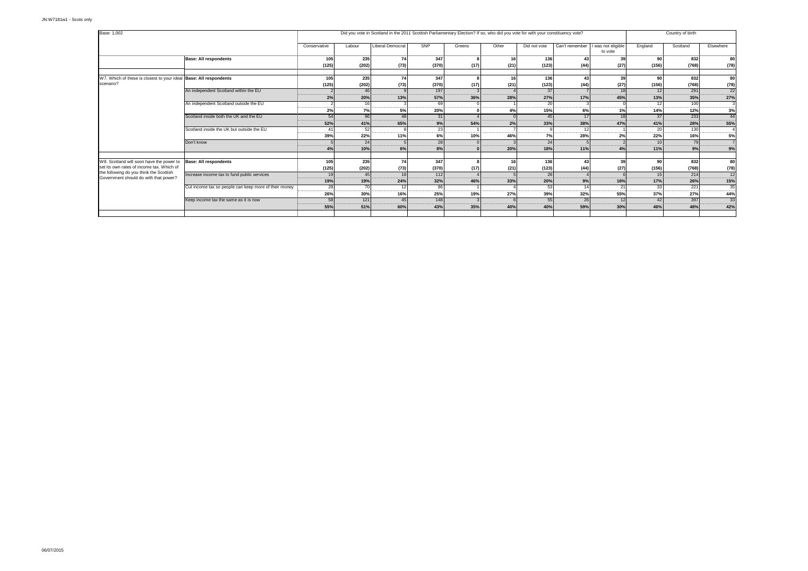| Base: 1,002                                                                           |                                                       |                                 |                       |                        | Did you vote in Scotland in the 2011 Scottish Parliamentary Election? If so, who did you vote for with your constituency vote? |                            |                            |                                |                                    |                                                |                          | Country of birth            |                          |
|---------------------------------------------------------------------------------------|-------------------------------------------------------|---------------------------------|-----------------------|------------------------|--------------------------------------------------------------------------------------------------------------------------------|----------------------------|----------------------------|--------------------------------|------------------------------------|------------------------------------------------|--------------------------|-----------------------------|--------------------------|
|                                                                                       |                                                       | Conservative                    | Labour                | Liberal Democrat       | SNP                                                                                                                            | Greens                     | Other                      | Did not vote                   |                                    | Can't remember   I was not eligible<br>to vote | England                  | Scotland                    | Elsewhere                |
|                                                                                       | <b>Base: All respondents</b>                          | 105<br>(125)                    | 235<br>(202)          | 74<br>(73)             | 347<br>(370)                                                                                                                   | (17)                       | 16<br>(21)                 | 136<br>(123)                   | 43<br>(44)                         | 39<br>(27)                                     | 90<br>(156)              | 832<br>(768)                | 80<br>(78)               |
| W7. Which of these is closest to your ideal Base: All respondents                     |                                                       | 105                             | 235                   | 74                     | 347                                                                                                                            |                            | 16                         | 136                            | 43                                 |                                                | 90                       | 832                         | 80                       |
| scenario?                                                                             | An independent Scotland within the EU                 | (125)<br><b><i>COLORADO</i></b> | (202)<br>46<br>------ | (73)                   | (370)<br>197                                                                                                                   | (17)                       | (21)                       | (123)<br>37                    | (44)                               | (27)                                           | (156)<br>12              | (768)<br>291                | (78)<br>22<br>--------   |
|                                                                                       | An independent Scotland outside the EU                | 2%                              | 20%                   | 13%                    | 57%<br>69                                                                                                                      | 36%                        | 28%                        | 27%<br>20                      | 17%                                | 45%                                            | 13%                      | 35%<br>100                  | 27%                      |
|                                                                                       | Scotland inside both the UK and the EU                | 2%<br>54                        | 7%<br>96              | 5%<br>10 <sup>1</sup>  | 20%<br>31                                                                                                                      |                            | 4%                         | 15%<br>45                      | 6%<br>17                           | 1%                                             | 14%<br>37 <sup>1</sup>   | 12%<br>233                  | 3%<br>44                 |
|                                                                                       | Scotland inside the UK but outside the EU             | <br>52%                         | <br>41%<br>52         | 65%                    | <br>9%<br>23                                                                                                                   | 54%                        | 2%                         | .<br>33%                       | ---------------------<br>38%<br>12 | 47%                                            | <br>41%<br>20            | -------------<br>28%<br>130 | .<br>55%                 |
|                                                                                       | Don't know                                            | <br>39%                         | <br>22%<br>24         | 11%                    | --------------------<br>6%<br>28                                                                                               | -------------------<br>10% | <br>46%                    | 7%<br>24                       | <br>28%                            | 2%                                             | -----------------<br>22% | -----------<br>16%          | -----------------<br>5%  |
|                                                                                       |                                                       | <br>4%                          | <br>10%               | 6%                     | ---------------------------<br>8%                                                                                              | ------------------         | -------------------<br>20% | -----------------------<br>18% | .<br>11%                           | --------------------                           | 11%                      | 9%                          | ------------------<br>9% |
| W8. Scotland will soon have the power to<br>set its own rates of income tax. Which of | <b>Base: All respondents</b>                          | 105<br>(125)                    | 235<br>(202)          | 74<br>(73)             | 347<br>(370)                                                                                                                   | (17)                       | 16<br>(21)                 | 136<br>(123)                   | 43<br>(44)                         | 39<br>(27)                                     | ٩n<br>(156)              | 832<br>(768)                | 80<br>(78)               |
| the following do you think the Scottish<br>Government should do with that power?      | Increase income tax to fund public services           | 10<br>19%                       | $\Delta^E$<br><br>19% | 18<br>24%              | 112<br><br>32%                                                                                                                 | 46%                        | 33%                        | 28<br>20%                      | 9%                                 | 16%                                            | 17%                      | 214<br><br>26%              | 12<br><br>15%            |
|                                                                                       | Cut income tax so people can keep more of their money | 28<br>26%                       | 70<br>30%             | <br>16%                | 8F<br>---------------------<br>25%                                                                                             | -----------------<br>19%   | ------------------<br>27%  | <br>39%                        | 32%                                | 55%                                            | 22<br><br>37%            | 221<br><br>27%              | 35<br><br>44%            |
|                                                                                       | Keep income tax the same as it is now                 | 58 <sub>1</sub><br>55%          | 121<br>51%            | $\overline{AB}$<br>60% | 148<br>43%                                                                                                                     | 35%                        | 40%                        | 55<br>40%                      | 26<br>59%                          | 12<br>30%                                      | $\Lambda$<br>46%         | 397<br>48%                  | 33<br>42%                |
|                                                                                       |                                                       |                                 |                       |                        |                                                                                                                                |                            |                            |                                |                                    |                                                |                          |                             |                          |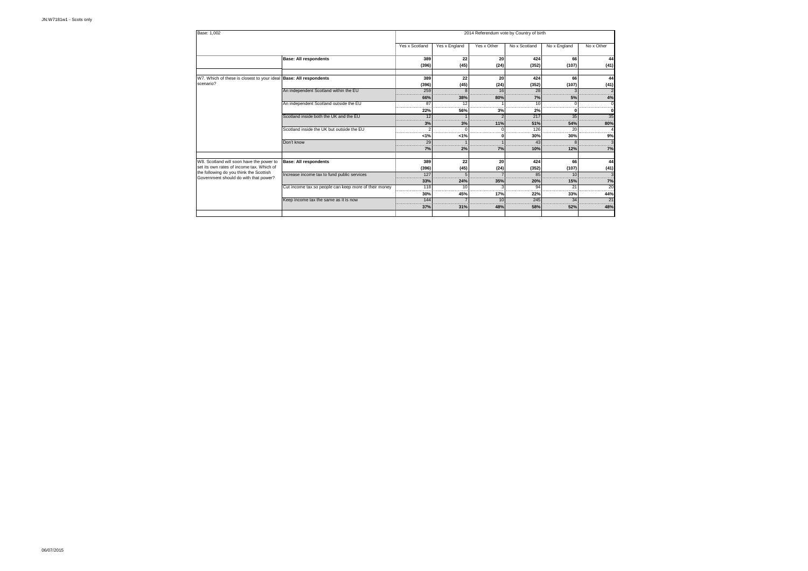| Base: 1,002                                                       |                                                       |                |               | 2014 Referendum vote by Country of birth |               |              |                            |
|-------------------------------------------------------------------|-------------------------------------------------------|----------------|---------------|------------------------------------------|---------------|--------------|----------------------------|
|                                                                   |                                                       | Yes x Scotland | Yes x England | Yes x Other                              | No x Scotland | No x England | No x Other                 |
|                                                                   | <b>Base: All respondents</b>                          | 389            | 22            | 20                                       | 424           | 66           | 44                         |
|                                                                   |                                                       | (396)          | (45)          | (24)                                     | (352)         | (107)        | (41)                       |
| W7. Which of these is closest to your ideal Base: All respondents |                                                       | 389            | 22            | 20                                       | 424           | 66           | 44                         |
| scenario?                                                         |                                                       | (396)          | (45)          | (24)                                     | (352)         | (107)        | (41)                       |
|                                                                   | An independent Scotland within the EU                 | 259            | $\mathbf{R}$  | 16                                       | 28            |              |                            |
|                                                                   |                                                       | 66%            | 38%           | 80%                                      | 7%            | 5%           | 4%                         |
|                                                                   | An independent Scotland outside the EU                | 87             | 12            |                                          | 10            |              |                            |
|                                                                   |                                                       | 22%            | 56%           | 3%                                       | 2%            |              |                            |
|                                                                   | Scotland inside both the UK and the EU                | 12             |               |                                          | 217           | 35           | 35                         |
|                                                                   |                                                       | 3%             | 3%            | 11%                                      | 51%           | 54%          | 80%                        |
|                                                                   | Scotland inside the UK but outside the EU             |                | $\Omega$      |                                          | 126           | 20           |                            |
|                                                                   |                                                       | 1%             | 1%            |                                          | 30%           | 30%          | 9%                         |
|                                                                   | Don't know                                            | 29             |               |                                          | 43            |              |                            |
|                                                                   |                                                       | 7%             | 2%            | 7%                                       | 10%           | 12%          | 7%                         |
| W8. Scotland will soon have the power to                          | <b>Base: All respondents</b>                          | 389            | 22            | 20                                       | 424           | 66           | 44                         |
| set its own rates of income tax. Which of                         |                                                       | (396)          | (45)          | (24)                                     | (352)         | (107)        | (41)                       |
| the following do you think the Scottish                           | Increase income tax to fund public services           | 127            |               |                                          | 85            | 10           |                            |
| Government should do with that power?                             |                                                       | 33%            | 24%           | 35%                                      | 20%           | 15%          | <b>Barbara</b> Maria<br>7% |
|                                                                   | Cut income tax so people can keep more of their money | 118            | 10            |                                          | 94            | 21           | 20                         |
|                                                                   |                                                       | 30%            | 45%           | 17%                                      | 22%           | 33%          | 44%                        |
|                                                                   | Keep income tax the same as it is now                 | 144            |               | 10                                       | 245           | 34           | 21                         |
|                                                                   |                                                       | 37%            | 31%           | 48%                                      | 58%           | 52%          | 48%                        |
|                                                                   |                                                       |                |               |                                          |               |              |                            |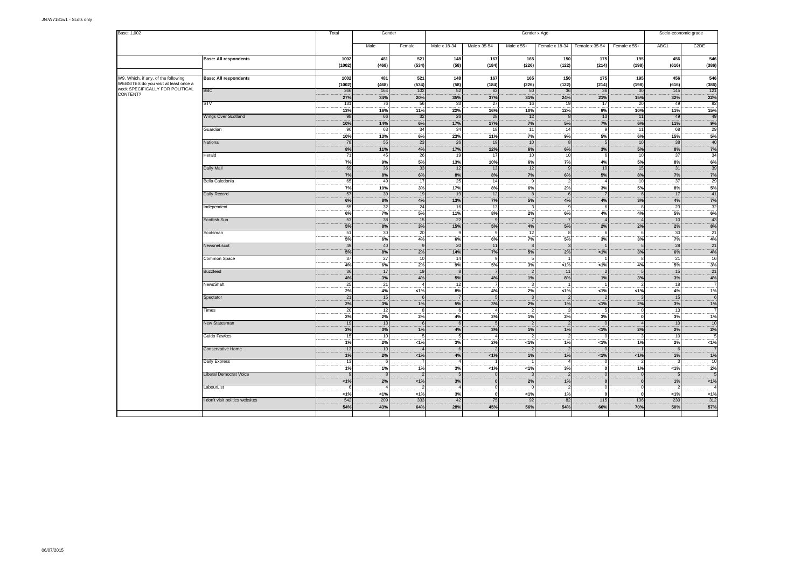| Base: 1,002                           |                                 | Total    | Gender    |          | Gender x Age           |                |                                |                      |                          |              | Socio-economic grade |                      |
|---------------------------------------|---------------------------------|----------|-----------|----------|------------------------|----------------|--------------------------------|----------------------|--------------------------|--------------|----------------------|----------------------|
|                                       |                                 |          | Male      | Female   | Male x 18-34           | Male x 35-54   | Male x 55+                     | Female x 18-34       | Female x 35-54           | Female x 55+ | ABC1                 | C <sub>2</sub> DE    |
|                                       | <b>Base: All respondents</b>    | 1002     | 481       | 521      | 148                    | 167            | 165                            | 150                  | 175                      | 195          | 456                  | 546                  |
|                                       |                                 | (1002)   | (468)     | (534)    | (58)                   | (184)          | (226)                          | (122)                | (214)                    | (198)        | (616)                | (386)                |
| W9. Which, if any, of the following   | <b>Base: All respondents</b>    | 1002     | 481       | 521      | 148                    | 167            | 165                            | 150                  | 175                      | 195          | 456                  | 546                  |
| WEBSITES do you visit at least once a |                                 | (1002)   | (468)     | (534)    | (58)                   | (184)          | (226)                          | (122)                | (214)                    | (198)        | (616)                | (386)                |
| week SPECIFICALLY FOR POLITICAL       | <b>BBC</b>                      | 266      | 164       | 102      | 52                     | 62             | 50                             | 36                   | 36                       | 30           | 145                  | 121                  |
| CONTENT?                              |                                 | 27%      | 34%       | 20%      | 35%                    | 37%            | 31%                            | 24%                  | 21%                      | 15%          | 32%                  | 22%                  |
|                                       | STV                             | 131      | 76        | 56       | 33                     | 27             | 16                             | 19                   | 17                       | 20           | 49                   | 82                   |
|                                       |                                 | 13%      | 16%       | 11%      | 22%                    | 16%            | 10%                            | 12%                  | 9%                       | 10%          | 11%                  | 15%                  |
|                                       | Wings Over Scotland             | 98       | 66        | 32       | 26                     | 28             | 12                             | $\mathbf{R}$         | 13                       | 11           | 49                   | 49                   |
|                                       |                                 | 10%      | 14%       | 6%       | 17%                    | 17%            | 7%                             | 5%                   | 7%                       | 6%           | 11%                  | 9%                   |
|                                       | Guardian                        | 96       | 63        | 34       | 34                     | 18             | 11                             | 14                   | $\alpha$                 | 11           | 68                   | 29                   |
|                                       |                                 | 10%      | 13%       | 6%       | 23%                    | 11%            | 7%                             | 9%<br>$\mathbf{8}$   | 5%                       | 6%<br>10     | 15%                  | 5%                   |
|                                       | National                        | 78<br>8% | 55<br>11% | 23<br>4% | 26<br>17%              | 19<br>12%      | 10<br>6%                       | 6%                   | 5<br>3%                  | 5%           | 38<br>8%             | 40                   |
|                                       | Herald                          | 71       | 45        | 26       | 19                     | 17             | 10                             | 10                   | 6                        | 10           | 37                   | 7%<br>34             |
|                                       |                                 | 7%       | 9%        | 5%       | 13%                    | 10%            | 6%                             | 7%                   | 4%                       | 5%           | 8%                   | 6%                   |
|                                       | Daily Mail                      | 69       | 36        | 33       | 12                     | 13             | 12                             | $\mathbf{q}$         | 10                       | 15           | 31                   | 39                   |
|                                       |                                 | 7%       | 8%        | 6%       | 8%                     | 8%             | 7%                             | 6%                   | 5%                       | 8%           | 7%                   | 7%                   |
|                                       | Bella Caledonia                 | 65       | 49        | 17       | 25                     | 14             | $\alpha$                       | $\mathcal{P}$        | $\mathbf{A}$             | 10           | 37                   | 29                   |
|                                       |                                 | 7%       | 10%       | 3%       | 17%                    | 8%             | 6%                             | 2%                   | 3%                       | 5%           | 8%                   | 5%                   |
|                                       | Daily Record                    | 57       | 39        | 19       | 19                     | 12             | 8                              | 6                    | $\overline{7}$           |              | 17                   | 41                   |
|                                       |                                 | 6%       | 8%        | 4%       | 13%                    | 7%             | 5%                             | 4%                   | 4%                       | 3%           | 4%                   | 7%                   |
|                                       | Independent                     | 55       | 32        | 24       | 16                     | 13             | $\mathbf{3}$                   | $\overline{9}$       | -6                       |              | 23                   | 32                   |
|                                       |                                 | 6%       | 7%        | 5%       | 11%                    | 8%             | 2%                             | 6%                   | 4%                       | 4%           | 5%                   | 6%                   |
|                                       | Scottish Sun                    | 53       | 38        | 15       | 22                     | $\mathbf{q}$   | $\overline{7}$                 | $\overline{7}$       | $\boldsymbol{\Lambda}$   |              | 10                   | 43                   |
|                                       |                                 | 5%       | 8%        | 3%       | 15%                    | 5%             | 4%                             | 5%                   | 2%                       | 2%           | 2%                   | 8%                   |
|                                       | Scotsman<br>Newsnet.scot        | 51       | 30        | 20       | <b>S</b>               | 9              | 12                             | 8                    | 6                        |              | 30                   | $^{21}$              |
|                                       |                                 | 5%       | 6%        | 4%       | 6%                     | 6%             | 7%                             | 5%                   | 3%                       | 3%           | 7%                   | 4%                   |
|                                       |                                 | 49       | 40        |          | 20                     | 11             | $\mathbf{8}$<br>5%             | $\mathbf{R}$         |                          |              | 28                   | 21                   |
|                                       |                                 | 5%<br>37 | 8%<br>27  | 2%<br>10 | 14%<br>14              | 7%<br>9        | 5                              | 2%                   | 1%                       | 3%           | 6%<br>21             | 4%<br>16             |
|                                       | Common Space                    | 4%       | 6%        | 2%       | 9%                     | 5%             | 3%                             | 1%                   | 1%                       | 4%           | 5%                   | 3%                   |
|                                       | Buzzfeed                        | 36       | 17        | 19       | $\epsilon$             |                | $\overline{\phantom{a}}$       | 11                   | $\overline{2}$           |              | 15                   | 21                   |
|                                       |                                 | 4%       | 3%        | 4%       | 5%                     | 4%             | 1%                             | 8%                   | 1%                       | 3%           | 3%                   | 4%                   |
|                                       | NewsShaft                       | 25       | 21        |          | 12                     | -7             | $\mathbf{3}$                   |                      |                          |              | 18                   | $\overline{7}$       |
|                                       |                                 | 2%       | 4%        | 1%       | 8%                     | 4%             | 2%                             | 1%                   | 1%                       | 1%           | 4%                   | 1%                   |
|                                       | Spectator                       | 21       | 15        |          |                        | $\sqrt{5}$     | -3                             | $\overline{2}$       | $\overline{\phantom{a}}$ |              | 15                   | 6                    |
|                                       |                                 | 2%       | 3%        | 1%       | 5%                     | 3%             | 2%                             | 1%                   | 1%                       | 2%           | 3%                   | 1%                   |
|                                       | Times                           | 20       | 12        |          | 6                      | $\Delta$       | $\overline{\phantom{a}}$       | $\mathbf{3}$         | 5                        |              | 13                   | $\overline{7}$       |
|                                       |                                 | 2%       | 2%        | 2%       | 4%                     | 2%             | 1%                             | 2%                   | 3%                       |              | 3%                   | 1%                   |
|                                       | New Statesman                   | 19       | 13        |          | $\epsilon$             | $\epsilon$     | $\overline{\phantom{a}}$       | $\vert$ 2            | $\mathbf{0}$             |              | 10                   | 10                   |
|                                       |                                 | 2%       | 3%        | 1%       | 4%                     | 3%             | 1%                             | 1%                   | 1%                       | 2%           | 2%                   | 2%                   |
|                                       | Guido Fawkes                    | 15       | 10        |          | -5                     | $\overline{4}$ | $\overline{\phantom{a}}$       | $\vert$ 2            | $\mathbf 0$              |              | 10                   | 5                    |
|                                       |                                 | 1%       | 2%<br>10  | 1%       | 3%                     | 2%             | 1%                             | 1%                   | 1%                       | 7%           | 2%<br>$\hat{a}$      | 1%                   |
|                                       | Conservative Home               | 13<br>1% | 2%        | 1%       | $\epsilon$<br>4%       | 1%             | $\overline{\phantom{a}}$<br>1% | $\overline{2}$<br>1% | $\Omega$                 | 1%           | 1%                   | $\overline{7}$<br>1% |
|                                       | Daily Express                   | 13       | 6         |          | $\overline{4}$         |                |                                | $\vert$              | 1%<br>$\circ$            |              |                      | 10                   |
|                                       |                                 | 1%       | 1%        | 1%       | 3%                     | 1%             | 1%                             | 3%                   | 0                        | 7%           | 1%                   | 2%                   |
|                                       | <b>Liberal Democrat Voice</b>   |          | -8        |          | ÷                      |                |                                | $\vert$ 2            | $\mathbf{0}$             |              |                      | 5                    |
|                                       |                                 | 1%       | 2%        | 1%       | 3%                     | $\mathbf 0$    | 2%                             | 1%                   | $\overline{0}$           |              | 1%                   | 1%                   |
|                                       | LabourList                      |          |           |          | $\boldsymbol{\Lambda}$ |                | $\Omega$                       | $\vert$ 2            | $\circ$                  |              |                      |                      |
|                                       |                                 | 1%       | 1%        | 1%       | 3%                     | 0              | 1%                             | 1%                   | $\mathbf{0}$             |              | 1%                   | 21%                  |
|                                       | I don't visit politics websites | 542      | 209       | 333      | 42                     | 75             | 92                             | 82                   | 115                      | 136          | 230                  | 312                  |
|                                       |                                 | 54%      | 43%       | 64%      | 28%                    | 45%            | 56%                            | 54%                  | 66%                      | 70%          | 50%                  | 57%                  |
|                                       |                                 |          |           |          |                        |                |                                |                      |                          |              |                      |                      |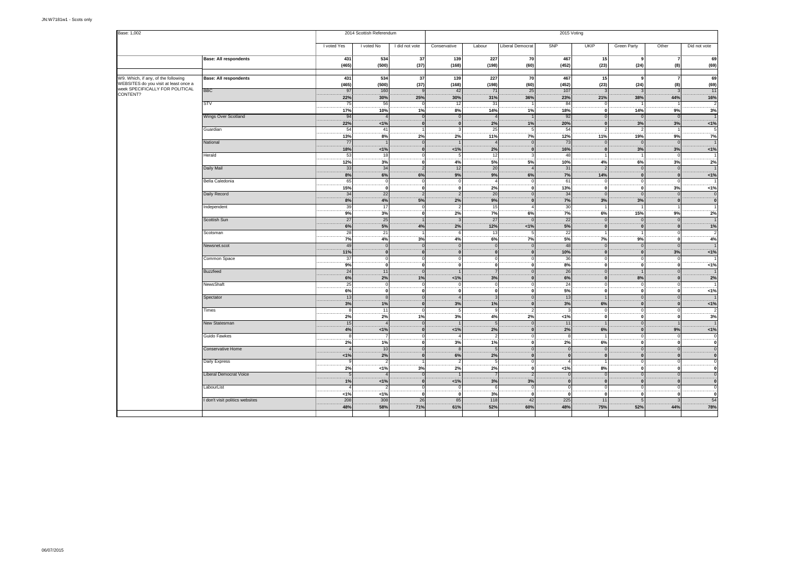| Base: 1,002                                                                                                                 |                                 | 2014 Scottish Referendum |                             |                          | 2015 Voting                                     |                             |                                      |                                 |                                                              |                               |                                                     |                |
|-----------------------------------------------------------------------------------------------------------------------------|---------------------------------|--------------------------|-----------------------------|--------------------------|-------------------------------------------------|-----------------------------|--------------------------------------|---------------------------------|--------------------------------------------------------------|-------------------------------|-----------------------------------------------------|----------------|
|                                                                                                                             |                                 | I voted Yes              | I voted No                  | I did not vote           | Conservative                                    | Labour                      | <b>Liberal Democrat</b>              | <b>SNP</b>                      | <b>UKIP</b>                                                  | <b>Green Party</b>            | Other                                               | Did not vote   |
|                                                                                                                             | <b>Base: All respondents</b>    | 431<br>(465)             | 534<br>(500)                | 37<br>(37)               | 139<br>(168)                                    | 227<br>(198)                | 70<br>(60)                           | 467<br>(452)                    | 15<br>(23)                                                   | 9<br>(24)                     | $\overline{7}$<br>(8)                               | 69<br>(69)     |
| W9. Which, if any, of the following<br>WEBSITES do you visit at least once a<br>week SPECIFICALLY FOR POLITICAL<br>CONTENT? | <b>Base: All respondents</b>    | 431<br>(465)             | 534<br>(500)                | 37<br>(37)               | 139<br>(168)                                    | 227<br>(198)                | 70<br>(60)                           | 467<br>(452)                    | 15<br>(23)                                                   | 9<br>(24)                     | $\overline{7}$<br>(8)                               | 69<br>(69)     |
|                                                                                                                             | <b>BBC</b>                      | 97<br>22%                | 160<br>30%                  | 25%                      | 42<br>30%                                       | 71<br>31%                   | 25<br>36%                            | 107<br>23%                      | $\cdot$ 3<br>21%                                             | 38%                           | $\mathbf{3}$<br>44%                                 | 11<br>16%      |
|                                                                                                                             | STV                             | 75<br>17%                | 56<br>10%                   | 1%                       | 12<br>8%                                        | 31<br>14%                   | 1%                                   | 84<br>18%                       | $\mathbf 0$<br>$\overline{\mathbf{0}}$                       | 14%                           | 9%                                                  | 3%             |
|                                                                                                                             | <b>Wings Over Scotland</b>      | 94<br>22%<br>54          | $\overline{4}$<br>1%<br>41  |                          | $\overline{0}$<br>$\mathbf 0$<br>3              | 2%<br>25                    | 1%<br>-5                             | 92<br>20%<br>54                 | $\overline{0}$<br>$\mathbf 0$<br>$\overline{2}$              | 3%                            | $\overline{0}$<br>3%<br>$\overline{1}$              | 1%             |
|                                                                                                                             | Guardian<br>National            | 13%<br>77                | 8%<br>$\blacksquare$        | 2%                       | 2%                                              | 11%                         | 7%<br>$\Omega$                       | 12%<br>73                       | 11%<br>$\overline{0}$                                        | 19%                           | 9%<br>$\overline{0}$                                | 7%             |
|                                                                                                                             | Herald                          | 18%<br>53                | 1%<br>18                    |                          | 1%<br>5                                         | 2%<br>12                    | $\mathbf{0}$<br>3                    | 16%<br>48                       | $\pmb{\mathsf{o}}$<br>$\overline{1}$                         | 3%                            | 3%<br>$\mathbf 0$                                   | 1%             |
|                                                                                                                             | Daily Mail                      | 12%<br>33                | 3%<br>34                    | $\Omega$                 | 4%<br>12                                        | 5%<br>20                    | 5%                                   | 10%<br>31                       | 4%<br>$\overline{\phantom{a}}$                               | 6%                            | 3%<br>$\overline{0}$                                | 2%             |
|                                                                                                                             | Bella Caledonia                 | 8%<br>65                 | 6%<br>$\circ$               | 6%                       | 9%<br>$\overline{0}$                            | 9%                          | 6%<br>$^{\circ}$                     | 7%<br>61                        | 14%<br>$\overline{0}$                                        | $\overline{0}$                | $\mathbf{0}$<br>$\overline{0}$                      | 1%             |
|                                                                                                                             | Daily Record                    | 15%<br>34                | 0 <br>22<br>4%              | $\mathbf 0$<br>5%        | $\mathbf 0$<br>$\overline{2}$<br>2%             | 2%<br>$\overline{20}$<br>9% | $\mathbf{o}$<br>$\Omega$             | 13%<br>34                       | $\mathbf{0}$<br>$\overline{0}$                               | $\mathbf 0$<br>$\Omega$<br>3% | 3%<br>$\overline{0}$<br>$\mathbf{0}$                | 1%             |
|                                                                                                                             | Independent                     | 8%<br>39<br>9%           | 17<br>3%                    | $\Omega$                 | $\overline{2}$<br>2%                            | 15<br>7%                    | $\overline{4}$<br>6%                 | 7%<br>30<br>7%                  | 3%<br>$\overline{1}$<br>6%                                   | 15%                           | $\overline{1}$<br>9%                                | 2%             |
|                                                                                                                             | Scottish Sun                    | 27<br>6%                 | 25<br>5%                    | 4%                       | $\mathbf{3}$<br>2%                              | 27<br>12%                   | $\Omega$<br>1%                       | 22<br>5%                        | $\overline{0}$<br>$\mathbf{0}$                               | $\Omega$                      | $\overline{0}$<br>$\Omega$                          | 1%             |
|                                                                                                                             | Scotsman                        | 28<br>7%                 | 21<br>4%                    | 3%                       | 6<br>4%                                         | 13<br>6%                    | -5<br>7%                             | 22<br>5%                        | $\overline{1}$<br>7%                                         | 9%                            | $\mathbf 0$<br>$\mathbf{0}$                         | 4%             |
|                                                                                                                             | Newsnet.scot                    | 49<br>11%                | $\overline{0}$<br> 0        |                          | $\overline{0}$<br>$\pmb{\mathsf{o}}$            | $\sqrt{ }$                  | $\Omega$                             | 48<br>10%                       | $\overline{0}$<br>$\mathbf{0}$                               | $\Omega$                      | $\overline{0}$<br>3%                                | 1%             |
|                                                                                                                             | Common Space<br>Buzzfeed        | 37<br>9%<br>24           | $\circ$<br>o<br>11          | $\Omega$<br>$\mathbf 0$  | $\overline{0}$<br>$\mathbf 0$<br>$\overline{1}$ | $\mathbf{0}$                | $\Omega$<br>$\mathbf{0}$<br>$\Omega$ | 36<br>8%<br>26                  | $\mathbf 0$<br>$\pmb{\mathsf{o}}$<br>$\overline{\mathbf{0}}$ | $\mathbf{0}$                  | $\mathbf 0$<br>$\pmb{\mathsf{o}}$<br>$\overline{0}$ | 1%             |
|                                                                                                                             | NewsShaft                       | 6%<br>25                 | 2%<br>$\circ$               | 1%                       | 1%<br>$\overline{0}$                            | 3%<br>$\Omega$              | $\Omega$                             | 6%<br>24                        | $\pmb{\mathsf{o}}$<br>$\,0\,$                                | 8%<br>$\Omega$                | $\mathbf{0}$<br>$\mathbf 0$                         | 2%             |
|                                                                                                                             | Spectator                       | 6%<br>13                 | o<br>8                      | $\mathbf{0}$<br>$\Omega$ | $\mathbf 0$<br>$\overline{4}$                   | $\mathbf{0}$                | $\mathbf{0}$<br>$\Omega$             | 5%<br>13                        | $\pmb{\mathsf{o}}$<br>$\vert$ 1                              | $\mathbf{0}$<br>$\Omega$      | $\mathbf 0$<br>$\overline{0}$                       | 1%             |
|                                                                                                                             | Times                           | 3%<br>8                  | 1%<br>11                    |                          | 3%<br>5                                         | 1%                          | $\overline{\phantom{a}}$             | 3%<br>$\mathbf{3}$              | 6%<br>$\mathbf 0$                                            |                               | $\mathbf{0}$<br>$\mathbf 0$                         | 1%             |
|                                                                                                                             | New Statesman                   | 2%<br>15                 | 2%<br>$\overline{4}$        | 1%                       | 3%                                              | 4%                          | 2%<br>$\Omega$                       | 1%<br>11<br>2%                  | $\pmb{\mathsf{o}}$<br>$\overline{1}$                         | $\mathbf{0}$<br>$\Omega$      | $\pmb{\mathsf{o}}$                                  | 3%             |
|                                                                                                                             | Guido Fawkes                    | $4\%$<br>8<br>2%         | 1%<br>$\overline{7}$<br>1%  | $\Omega$                 | 1%<br>$\overline{4}$<br>3%                      | 2%<br>1%                    | $^{\circ}$<br>$\mathbf{0}$           | 8<br>2%                         | $6\%$<br>6%                                                  | $\Omega$                      | 9%<br>$\circ$<br>$\mathbf 0$                        | 1%<br>$\Omega$ |
|                                                                                                                             | Conservative Home               | $\Lambda$<br>1%          | 10<br>2%                    |                          | 8<br>6%                                         | 2%                          | $\Omega$                             | $\Omega$<br>$\mathbf{0}$        | $\overline{0}$<br>$\pmb{\mathsf{o}}$                         |                               | $\overline{0}$<br>$\mathbf{0}$                      |                |
|                                                                                                                             | Daily Express                   | 9<br>2%                  | $\overline{2}$<br>1%        | 3%                       | $\overline{2}$<br>2%                            | 2%                          | $^{\circ}$<br>$\mathbf 0$            | $\overline{4}$<br>$1\%$         | -1<br>8%                                                     | $\Omega$                      | $\circ$<br>$\pmb{\mathsf{o}}$                       |                |
|                                                                                                                             | <b>Liberal Democrat Voice</b>   | 5<br>1%                  | $\Delta$<br>1%              |                          | 1%                                              | 3%                          | -2<br>3%                             | $\Omega$<br> 0                  | $\overline{0}$<br>$\mathbf 0$                                |                               | $\overline{0}$<br>$\mathbf{0}$                      |                |
|                                                                                                                             | LabourList                      | 1%<br>208                | $\overline{2}$<br>1%<br>308 | 26                       | - 0<br>$\pmb{0}$<br>85                          | 3%<br>118                   | - 0<br>$\mathbf 0$<br>42             | $\Omega$<br>$\mathbf{0}$<br>225 | $\mathbf 0$<br>$\mathbf 0$<br>11                             |                               | $\circ$<br>$\mathbf{0}$<br>$\mathbf{3}$             | 54             |
|                                                                                                                             | I don't visit politics websites | 48%                      | 58%                         | 71%                      | 61%                                             | 52%                         | 60%                                  | 48%                             | 75%                                                          | 52%                           | 44%                                                 | 78%            |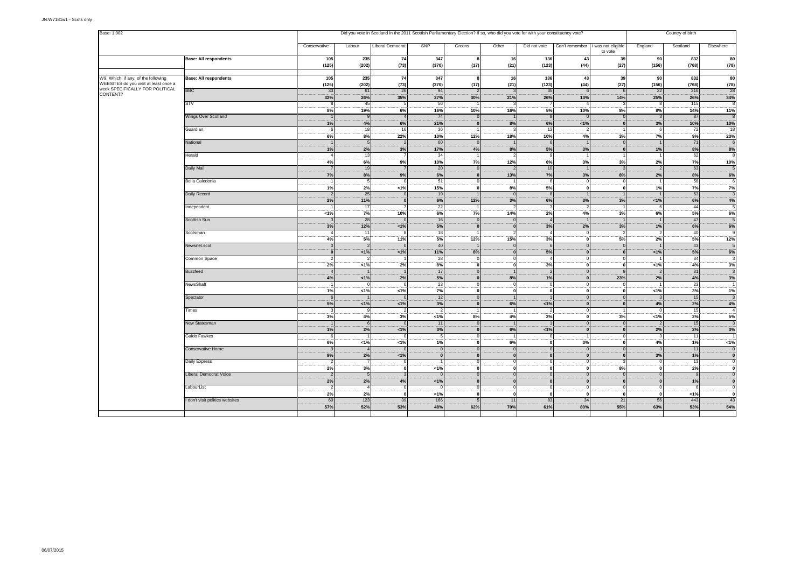| Base: 1,002                                                                                                                 |                               | Did you vote in Scotland in the 2011 Scottish Parliamentary Election? If so, who did you vote for with your constituency vote?<br>Country of birth |                  |                  |                      |                                           |                          |                                             |                            |                                                |                                          |                  |                                                 |
|-----------------------------------------------------------------------------------------------------------------------------|-------------------------------|----------------------------------------------------------------------------------------------------------------------------------------------------|------------------|------------------|----------------------|-------------------------------------------|--------------------------|---------------------------------------------|----------------------------|------------------------------------------------|------------------------------------------|------------------|-------------------------------------------------|
|                                                                                                                             |                               | Conservative                                                                                                                                       | Labour           | Liberal Democrat | <b>SNP</b>           | Greens                                    | Other                    | Did not vote                                |                            | Can't remember   I was not eligible<br>to vote | England                                  | Scotland         | Elsewhere                                       |
|                                                                                                                             | <b>Base: All respondents</b>  | 105<br>(125)                                                                                                                                       | 235<br>(202)     | 74<br>(73)       | 347<br>(370)         | 8<br>(17)                                 | 16<br>(21)               | 136<br>(123)                                | 43<br>(44)                 | 39<br>(27)                                     | -90l<br>(156)                            | 832<br>(768)     | 80<br>(78)                                      |
| W9. Which, if any, of the following<br>WEBSITES do you visit at least once a<br>week SPECIFICALLY FOR POLITICAL<br>CONTENT? | <b>Base: All respondents</b>  | 105<br>(125)                                                                                                                                       | 235<br>(202)     | 74<br>(73)       | 347<br>(370)         | 8<br>(17)                                 | 16<br>(21)               | 136<br>(123)                                | 43<br>(44)                 | 39<br>(27)                                     | <b>90</b><br>(156)                       | 832<br>(768)     | 80<br>(78)                                      |
|                                                                                                                             | <b>BBC</b>                    | 33<br>32%                                                                                                                                          | 61<br>26%        | 26<br>35%        | 94<br>27%            | $\overline{2}$<br>30%                     | 21%                      | 35<br>26%                                   | 13%                        | 14%                                            | 22<br>25%                                | 216<br>26%       | 28<br>34%                                       |
|                                                                                                                             | <b>STV</b>                    | 8%                                                                                                                                                 | 45<br>19%        | 6%               | 56<br>16%            | 10%                                       | 16%                      | 5%                                          | 10%                        | 8%                                             | 8%                                       | 115<br>14%       | 8<br>11%                                        |
|                                                                                                                             | Wings Over Scotland           | 1%                                                                                                                                                 | 4%               | 6%               | 74<br>21%            | $\overline{0}$<br> 0                      | 8%                       | $\mathbf{8}$<br>6%                          | 1%                         |                                                | 3%                                       | 87<br>10%        | 8<br>10%                                        |
|                                                                                                                             | Guardian<br>National          | 6%                                                                                                                                                 | 18<br>8%<br>F    | 16<br>22%        | 36<br>10%<br>60      | 12%<br>$\mathbf{0}$                       | 18%                      | 13<br>10%                                   | 4%                         | 3%                                             | 7%                                       | 72<br>9%<br>71   | 18<br>23%<br>6                                  |
|                                                                                                                             | <b>Herald</b>                 | 1%                                                                                                                                                 | 2%<br>13         | 3%               | 17%<br>34            | 4%                                        | 8%                       | 5%                                          | 3%                         |                                                | 1%                                       | 8%<br>62         | 8%<br>$\mathbf{R}$                              |
|                                                                                                                             | Daily Mail                    | 4%                                                                                                                                                 | 6%<br>19         | 9%               | 10%<br>20            | 7%<br>$\overline{0}$                      | 12%                      | 6%<br>10                                    | 3%                         | 3%                                             | 2%                                       | 7%<br>63         | 10%<br>5                                        |
|                                                                                                                             | Bella Caledonia               | 7%                                                                                                                                                 | 8%               | 9%               | 6%<br>51             | 0 <br>$\circ$                             | 13%                      | 7%                                          | 3%                         | 8%                                             | 2%                                       | 8%<br>58         | 6%<br>6                                         |
|                                                                                                                             | Daily Record                  | 1%                                                                                                                                                 | 2%<br>25         | 1%               | 15%<br>19            | $\mathbf{0}$                              | 8%                       | 5%                                          | $\Omega$                   |                                                | 1%                                       | 7%<br>53         | 7%<br>$\overline{3}$                            |
|                                                                                                                             | ndependent                    | 2%                                                                                                                                                 | 11%<br>17        | $\sqrt{2}$       | 6%<br>22             | 12%                                       | 3%                       | $6\%$                                       | 3%                         | 3%                                             | 1%                                       | 6%<br>44         | 4%<br>5                                         |
|                                                                                                                             | Scottish Sun                  | 1%<br>3%                                                                                                                                           | 7%<br>28<br>12%  | 10%<br>1%        | 6%<br>16<br>5%       | 7%<br>$\overline{0}$<br>$\mathbf{0}$      | 14%                      | 2%<br>3%                                    | 4%<br>2%                   | 3%<br>3%                                       | 6%<br>1%                                 | 5%<br>47<br>6%   | 6%<br>5<br>6%                                   |
|                                                                                                                             | Scotsman                      | $\overline{4}$<br>4%                                                                                                                               | 11<br>5%         | 11%              | 18<br>5%             | $\overline{1}$<br>12%                     | 15%                      | 3%                                          | $^{\circ}$<br>$\mathbf{0}$ | 5%                                             | 2%                                       | 40<br>5%         | 9<br>12%                                        |
|                                                                                                                             | Newsnet.scot                  | $\Omega$<br>$\mathbf{0}$                                                                                                                           | 1%               | $\epsilon$<br>1% | 40<br>11%            | 8%                                        |                          | - 6<br>$5%$                                 | $\Omega$<br>$\mathbf{0}$   |                                                | 1%                                       | 43<br>5%         | 5<br>6%                                         |
|                                                                                                                             | Common Space                  | $\overline{2}$<br>2%                                                                                                                               | -2<br>1%         | 2%               | 28<br>8%             | $\circ$<br>$\mathbf{0}$                   | $\Omega$                 | 3%                                          | $\Omega$<br>$\Omega$       |                                                | 1%                                       | 34<br>4%         | $\overline{3}$<br>3%                            |
|                                                                                                                             | <b>Buzzfeed</b>               | $\boldsymbol{\Lambda}$<br>4%                                                                                                                       | $1\%$            | 2%               | 17<br>5%             | $\circ$<br> 0                             | 8%                       | 1%                                          | $\Omega$                   | 23%                                            | $\overline{\phantom{a}}$<br>2%           | 31<br>4%         | $\overline{\mathbf{3}}$<br>3%                   |
|                                                                                                                             | <b>NewsShaft</b>              | 1%                                                                                                                                                 | $^{\circ}$<br>1% | $\epsilon$<br>1% | 23<br>7%<br>12       | $\circ$<br> 0                             | $\Omega$<br>$\mathbf{0}$ | $^{\circ}$<br>$\mathbf{0}$                  | $\Omega$                   |                                                | 1%                                       | 23<br>3%         | $\overline{1}$<br>1%                            |
|                                                                                                                             | Spectator<br>Times            | -6<br>5%<br>3                                                                                                                                      | 1%               | 1%               | 3%<br>$\overline{2}$ | $\circ$<br>$\mathbf{0}$                   | 6%                       | 1%                                          | $\Omega$                   |                                                | 4%                                       | 15<br>2%<br>15   | $\overline{\mathbf{3}}$<br>4%<br>$\overline{4}$ |
|                                                                                                                             | New Statesman                 | 3%                                                                                                                                                 | 4%<br>$\epsilon$ | 3%               | $1\%$<br>11          | 8%<br>$\overline{0}$                      | 4%                       | 2%                                          | $\mathbf{0}$               | 3%                                             | 1%                                       | 2%<br>15         | 5%<br>$\overline{3}$                            |
|                                                                                                                             | Guido Fawkes                  | 1%                                                                                                                                                 | 2%               | 1%               | 3%<br>5 <sub>5</sub> | $\mathbf{0}$<br>$\overline{0}$            | 6%                       | 1%                                          |                            |                                                | 2%                                       | 2%<br>11         | 3%<br>$\overline{1}$                            |
|                                                                                                                             | Conservative Home             | 6%                                                                                                                                                 | 1%               | 1%               | 1%<br>$\overline{0}$ | $\mathbf{0}$<br>$\circ$                   | 6%                       | $\mathbf{0}$                                | 3%<br>$\overline{0}$       |                                                | 4%                                       | 1%<br>11         | 1%<br>$\mathbf 0$                               |
|                                                                                                                             | Daily Express                 | 9%<br>$\overline{2}$                                                                                                                               | 2%               | 1%<br>-0         | $\mathbf{0}$         | $\mathbf{0}$<br>$\circ$                   | $\mathbf{0}$<br>$\Omega$ | $\Omega$<br>$\Omega$                        | $\Omega$<br>$\Omega$       |                                                | 3%<br>$\Omega$                           | 1%<br>13         | $\pmb{0}$<br>$\pmb{0}$                          |
|                                                                                                                             | Liberal Democrat Voice        | 2%                                                                                                                                                 | 3%<br>$\sqrt{5}$ | $\Omega$         | 1%<br>$\sqrt{ }$     | $\overline{\mathbf{0}}$<br>$\overline{0}$ | $\Omega$                 | $\mathbf 0$                                 | $\mathbf{0}$<br>$\Omega$   | 8%                                             | $\mathbf{0}$<br>$\Omega$<br>$\mathbf{0}$ | 2%<br>$\epsilon$ | ō<br>$\overline{0}$                             |
|                                                                                                                             | abourList                     | 2%<br>2%                                                                                                                                           | 2%<br>2%         | 4%<br>$\Omega$   | 1%<br>$\Omega$<br>1% | $\mathbf{0}$<br>$\mathbf 0$<br> 0         | $\Omega$                 | $\mathbf{0}$<br>$\mathbf 0$<br>$\mathbf{0}$ | $\mathbf{0}$               |                                                | $\mathbf{0}$                             | 1%<br>1%         | $\pmb{0}$<br>$\overline{0}$<br>$\mathbf{0}$     |
|                                                                                                                             | don't visit politics websites | 60<br>57%                                                                                                                                          | 123<br>52%       | 39<br>53%        | 166<br>48%           | 5<br>62%                                  | 11<br>70%                | 83<br>61%                                   | 34<br>80%                  | 21<br>55%                                      | 56<br>63%                                | 443<br>53%       | 43<br>54%                                       |
|                                                                                                                             |                               |                                                                                                                                                    |                  |                  |                      |                                           |                          |                                             |                            |                                                |                                          |                  |                                                 |